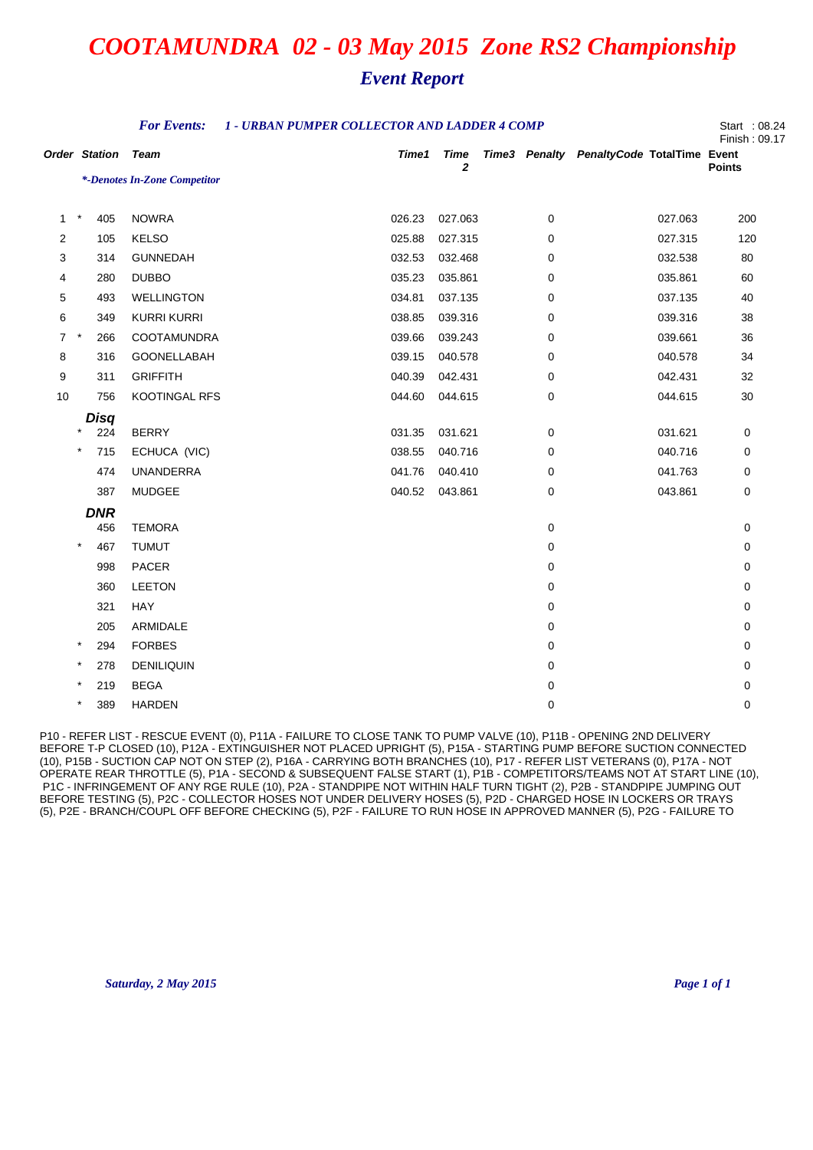## *Event Report*

| <b>For Events:</b><br>1 - URBAN PUMPER COLLECTOR AND LADDER 4 COMP |                      |                              |  |        |                             |  |   |                                           | Start: 08.24<br>Finish: 09.17 |
|--------------------------------------------------------------------|----------------------|------------------------------|--|--------|-----------------------------|--|---|-------------------------------------------|-------------------------------|
|                                                                    | <b>Order Station</b> | <b>Team</b>                  |  | Time1  | <b>Time</b><br>$\mathbf{2}$ |  |   | Time3 Penalty PenaltyCode TotalTime Event | <b>Points</b>                 |
|                                                                    |                      | *-Denotes In-Zone Competitor |  |        |                             |  |   |                                           |                               |
| -1                                                                 | $\star$<br>405       | <b>NOWRA</b>                 |  | 026.23 | 027.063                     |  | 0 | 027.063                                   | 200                           |
| $\overline{2}$                                                     | 105                  | <b>KELSO</b>                 |  | 025.88 | 027.315                     |  | 0 | 027.315                                   | 120                           |
| 3                                                                  | 314                  | <b>GUNNEDAH</b>              |  | 032.53 | 032.468                     |  | 0 | 032.538                                   | 80                            |
| 4                                                                  | 280                  | <b>DUBBO</b>                 |  | 035.23 | 035.861                     |  | 0 | 035.861                                   | 60                            |
| 5                                                                  | 493                  | <b>WELLINGTON</b>            |  | 034.81 | 037.135                     |  | 0 | 037.135                                   | 40                            |
| 6                                                                  | 349                  | <b>KURRI KURRI</b>           |  | 038.85 | 039.316                     |  | 0 | 039.316                                   | 38                            |
| $\overline{7}$                                                     | $^\star$<br>266      | <b>COOTAMUNDRA</b>           |  | 039.66 | 039.243                     |  | 0 | 039.661                                   | 36                            |
| 8                                                                  | 316                  | GOONELLABAH                  |  | 039.15 | 040.578                     |  | 0 | 040.578                                   | 34                            |
| 9                                                                  | 311                  | <b>GRIFFITH</b>              |  | 040.39 | 042.431                     |  | 0 | 042.431                                   | 32                            |
| 10                                                                 | 756                  | <b>KOOTINGAL RFS</b>         |  | 044.60 | 044.615                     |  | 0 | 044.615                                   | 30                            |
|                                                                    | Disq                 |                              |  |        |                             |  |   |                                           |                               |
|                                                                    | $\star$<br>224       | <b>BERRY</b>                 |  | 031.35 | 031.621                     |  | 0 | 031.621                                   | 0                             |
|                                                                    | $^\ast$<br>715       | ECHUCA (VIC)                 |  | 038.55 | 040.716                     |  | 0 | 040.716                                   | 0                             |
|                                                                    | 474                  | <b>UNANDERRA</b>             |  | 041.76 | 040.410                     |  | 0 | 041.763                                   | 0                             |
|                                                                    | 387                  | <b>MUDGEE</b>                |  | 040.52 | 043.861                     |  | 0 | 043.861                                   | 0                             |
|                                                                    | <b>DNR</b><br>456    | <b>TEMORA</b>                |  |        |                             |  | 0 |                                           | 0                             |
|                                                                    | $\star$<br>467       | <b>TUMUT</b>                 |  |        |                             |  | 0 |                                           | 0                             |
|                                                                    | 998                  | PACER                        |  |        |                             |  | 0 |                                           | 0                             |
|                                                                    | 360                  | <b>LEETON</b>                |  |        |                             |  | 0 |                                           | 0                             |
|                                                                    | 321                  | <b>HAY</b>                   |  |        |                             |  | 0 |                                           | 0                             |
|                                                                    | 205                  | ARMIDALE                     |  |        |                             |  | 0 |                                           | 0                             |
|                                                                    | $\star$<br>294       | <b>FORBES</b>                |  |        |                             |  | 0 |                                           | 0                             |
|                                                                    | $\ast$<br>278        | <b>DENILIQUIN</b>            |  |        |                             |  | 0 |                                           | 0                             |
|                                                                    | 219                  | <b>BEGA</b>                  |  |        |                             |  | 0 |                                           | 0                             |
|                                                                    | $\star$<br>389       | <b>HARDEN</b>                |  |        |                             |  | 0 |                                           | $\mathbf 0$                   |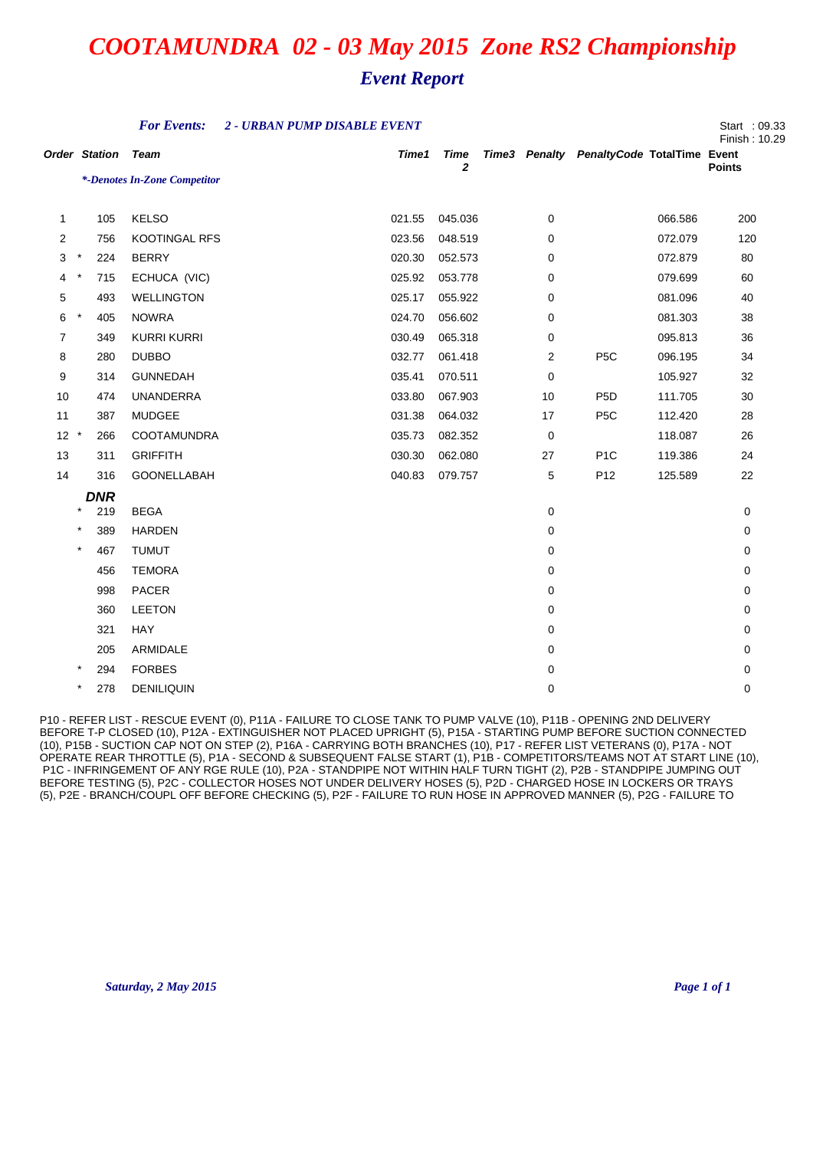|                      |            |            | <b>For Events:</b>           | 2 - URBAN PUMP DISABLE EVENT |                             |             |                                           |         | Start : 09.33<br>Finish: 10.29 |
|----------------------|------------|------------|------------------------------|------------------------------|-----------------------------|-------------|-------------------------------------------|---------|--------------------------------|
| <b>Order Station</b> |            |            | Team                         | Time1                        | <b>Time</b><br>$\mathbf{z}$ |             | Time3 Penalty PenaltyCode TotalTime Event |         | <b>Points</b>                  |
|                      |            |            | *-Denotes In-Zone Competitor |                              |                             |             |                                           |         |                                |
| $\mathbf{1}$         |            | 105        | <b>KELSO</b>                 | 021.55                       | 045.036                     | 0           |                                           | 066.586 | 200                            |
| 2                    |            | 756        | KOOTINGAL RFS                | 023.56                       | 048.519                     | 0           |                                           | 072.079 | 120                            |
| 3                    | $^{\star}$ | 224        | <b>BERRY</b>                 | 020.30                       | 052.573                     | 0           |                                           | 072.879 | 80                             |
| 4                    | $\ast$     | 715        | ECHUCA (VIC)                 | 025.92                       | 053.778                     | 0           |                                           | 079.699 | 60                             |
| 5                    |            | 493        | <b>WELLINGTON</b>            | 025.17                       | 055.922                     | 0           |                                           | 081.096 | 40                             |
| 6                    | $\star$    | 405        | <b>NOWRA</b>                 | 024.70                       | 056.602                     | 0           |                                           | 081.303 | 38                             |
| 7                    |            | 349        | <b>KURRI KURRI</b>           | 030.49                       | 065.318                     | 0           |                                           | 095.813 | 36                             |
| 8                    |            | 280        | <b>DUBBO</b>                 | 032.77                       | 061.418                     | 2           | P <sub>5</sub> C                          | 096.195 | 34                             |
| 9                    |            | 314        | <b>GUNNEDAH</b>              | 035.41                       | 070.511                     | 0           |                                           | 105.927 | 32                             |
| 10                   |            | 474        | <b>UNANDERRA</b>             | 033.80                       | 067.903                     | 10          | P <sub>5</sub> D                          | 111.705 | 30                             |
| 11                   |            | 387        | MUDGEE                       | 031.38                       | 064.032                     | 17          | P <sub>5</sub> C                          | 112.420 | 28                             |
| $12 *$               |            | 266        | COOTAMUNDRA                  | 035.73                       | 082.352                     | 0           |                                           | 118.087 | 26                             |
| 13                   |            | 311        | <b>GRIFFITH</b>              | 030.30                       | 062.080                     | 27          | P <sub>1</sub> C                          | 119.386 | 24                             |
| 14                   |            | 316        | GOONELLABAH                  | 040.83                       | 079.757                     | 5           | P <sub>12</sub>                           | 125.589 | 22                             |
|                      |            | <b>DNR</b> |                              |                              |                             |             |                                           |         |                                |
|                      | $\star$    | 219        | <b>BEGA</b>                  |                              |                             | $\mathbf 0$ |                                           |         | 0                              |
|                      | $\star$    | 389        | <b>HARDEN</b>                |                              |                             | 0           |                                           |         | 0                              |
|                      | $\star$    | 467        | <b>TUMUT</b>                 |                              |                             | 0           |                                           |         | 0                              |
|                      |            | 456        | <b>TEMORA</b>                |                              |                             | 0           |                                           |         | 0                              |
|                      |            | 998        | PACER                        |                              |                             | 0           |                                           |         | 0                              |
|                      |            | 360        | <b>LEETON</b>                |                              |                             | 0           |                                           |         | 0                              |
|                      |            | 321        | HAY                          |                              |                             | 0           |                                           |         | 0                              |
|                      |            | 205        | ARMIDALE                     |                              |                             | 0           |                                           |         | 0                              |
|                      |            | 294        | <b>FORBES</b>                |                              |                             | 0           |                                           |         | 0                              |
|                      | $\star$    | 278        | <b>DENILIQUIN</b>            |                              |                             | 0           |                                           |         | 0                              |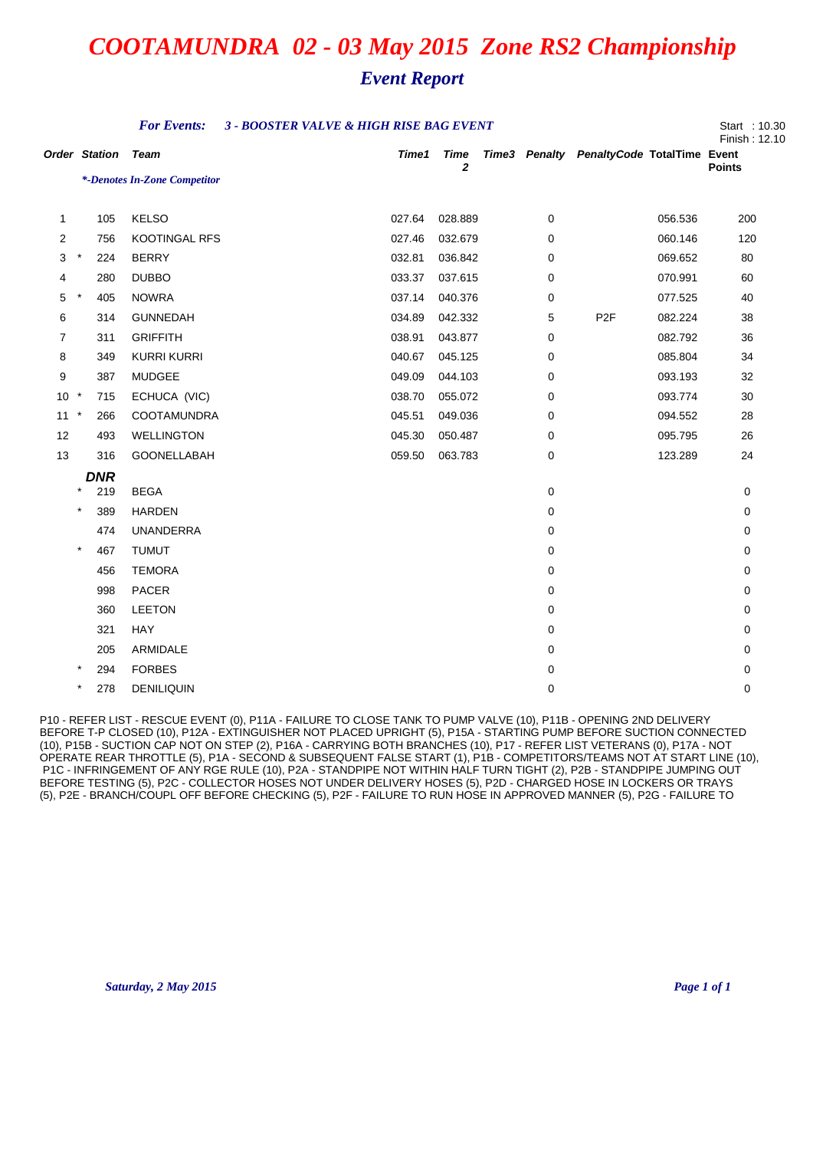### *Event Report*

|                      |         |            | <b>For Events:</b><br>3 - BOOSTER VALVE & HIGH RISE BAG EVENT |  |        |                             |  |   |                                           |         |               |
|----------------------|---------|------------|---------------------------------------------------------------|--|--------|-----------------------------|--|---|-------------------------------------------|---------|---------------|
| <b>Order Station</b> |         |            | <b>Team</b>                                                   |  | Time1  | <b>Time</b><br>$\mathbf{2}$ |  |   | Time3 Penalty PenaltyCode TotalTime Event |         | <b>Points</b> |
|                      |         |            | *-Denotes In-Zone Competitor                                  |  |        |                             |  |   |                                           |         |               |
| $\mathbf{1}$         |         | 105        | <b>KELSO</b>                                                  |  | 027.64 | 028.889                     |  | 0 |                                           | 056.536 | 200           |
| 2                    |         | 756        | <b>KOOTINGAL RFS</b>                                          |  | 027.46 | 032.679                     |  | 0 |                                           | 060.146 | 120           |
| 3                    | $\star$ | 224        | <b>BERRY</b>                                                  |  | 032.81 | 036.842                     |  | 0 |                                           | 069.652 | 80            |
| 4                    |         | 280        | <b>DUBBO</b>                                                  |  | 033.37 | 037.615                     |  | 0 |                                           | 070.991 | 60            |
| 5                    | $\star$ | 405        | <b>NOWRA</b>                                                  |  | 037.14 | 040.376                     |  | 0 |                                           | 077.525 | 40            |
| 6                    |         | 314        | <b>GUNNEDAH</b>                                               |  | 034.89 | 042.332                     |  | 5 | P <sub>2F</sub>                           | 082.224 | 38            |
| $\overline{7}$       |         | 311        | <b>GRIFFITH</b>                                               |  | 038.91 | 043.877                     |  | 0 |                                           | 082.792 | 36            |
| 8                    |         | 349        | <b>KURRI KURRI</b>                                            |  | 040.67 | 045.125                     |  | 0 |                                           | 085.804 | 34            |
| 9                    |         | 387        | <b>MUDGEE</b>                                                 |  | 049.09 | 044.103                     |  | 0 |                                           | 093.193 | 32            |
| 10<br>$\star$        |         | 715        | ECHUCA (VIC)                                                  |  | 038.70 | 055.072                     |  | 0 |                                           | 093.774 | 30            |
| 11                   | $\cdot$ | 266        | <b>COOTAMUNDRA</b>                                            |  | 045.51 | 049.036                     |  | 0 |                                           | 094.552 | 28            |
| 12                   |         | 493        | <b>WELLINGTON</b>                                             |  | 045.30 | 050.487                     |  | 0 |                                           | 095.795 | 26            |
| 13                   |         | 316        | GOONELLABAH                                                   |  | 059.50 | 063.783                     |  | 0 |                                           | 123.289 | 24            |
|                      |         | <b>DNR</b> |                                                               |  |        |                             |  |   |                                           |         |               |
|                      | $\star$ | 219        | <b>BEGA</b>                                                   |  |        |                             |  | 0 |                                           |         | 0             |
|                      | $\star$ | 389        | <b>HARDEN</b>                                                 |  |        |                             |  | 0 |                                           |         | 0             |
|                      |         | 474        | <b>UNANDERRA</b>                                              |  |        |                             |  | 0 |                                           |         | 0             |
|                      | $\star$ | 467        | <b>TUMUT</b>                                                  |  |        |                             |  | 0 |                                           |         | 0             |
|                      |         | 456        | <b>TEMORA</b>                                                 |  |        |                             |  | 0 |                                           |         | 0             |
|                      |         | 998        | <b>PACER</b>                                                  |  |        |                             |  | 0 |                                           |         | 0             |
|                      |         | 360        | <b>LEETON</b>                                                 |  |        |                             |  | 0 |                                           |         | 0             |
|                      |         | 321        | <b>HAY</b>                                                    |  |        |                             |  | 0 |                                           |         | 0             |
|                      |         | 205        | ARMIDALE                                                      |  |        |                             |  | 0 |                                           |         | 0             |
|                      |         | 294        | <b>FORBES</b>                                                 |  |        |                             |  | 0 |                                           |         | $\mathbf 0$   |
|                      | $\star$ | 278        | <b>DENILIQUIN</b>                                             |  |        |                             |  | 0 |                                           |         | 0             |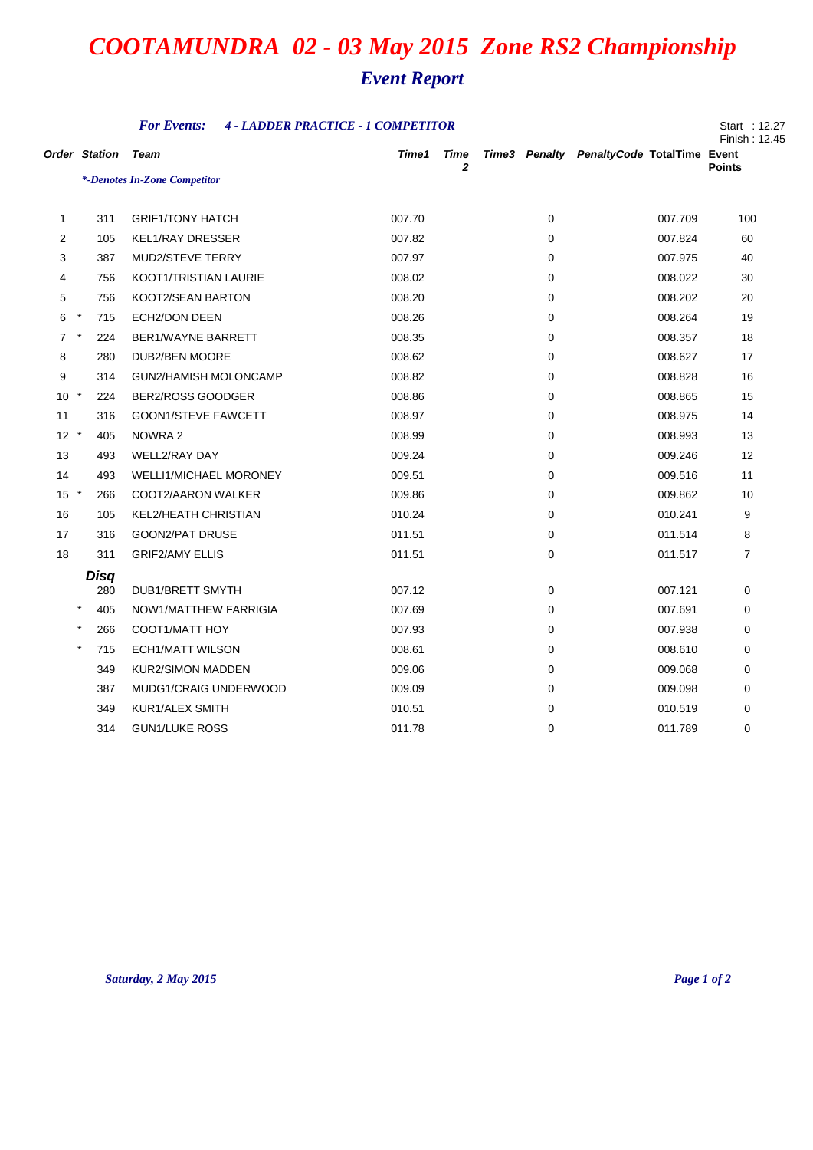*Event Report*

|                      | <b>For Events:</b><br><b>4 - LADDER PRACTICE - 1 COMPETITOR</b><br>Start : 12.27<br>Finish: 12.45 |                               |  |        |           |  |             |                                           |                |  |
|----------------------|---------------------------------------------------------------------------------------------------|-------------------------------|--|--------|-----------|--|-------------|-------------------------------------------|----------------|--|
| <b>Order Station</b> |                                                                                                   | Team                          |  | Time1  | Time<br>2 |  |             | Time3 Penalty PenaltyCode TotalTime Event | <b>Points</b>  |  |
|                      |                                                                                                   | *-Denotes In-Zone Competitor  |  |        |           |  |             |                                           |                |  |
| 1                    | 311                                                                                               | <b>GRIF1/TONY HATCH</b>       |  | 007.70 |           |  | 0           | 007.709                                   | 100            |  |
| 2                    | 105                                                                                               | <b>KEL1/RAY DRESSER</b>       |  | 007.82 |           |  | 0           | 007.824                                   | 60             |  |
| 3                    | 387                                                                                               | <b>MUD2/STEVE TERRY</b>       |  | 007.97 |           |  | 0           | 007.975                                   | 40             |  |
| 4                    | 756                                                                                               | KOOT1/TRISTIAN LAURIE         |  | 008.02 |           |  | 0           | 008.022                                   | 30             |  |
| 5                    | 756                                                                                               | KOOT2/SEAN BARTON             |  | 008.20 |           |  | 0           | 008.202                                   | 20             |  |
| 6                    | $^\star$<br>715                                                                                   | ECH2/DON DEEN                 |  | 008.26 |           |  | 0           | 008.264                                   | 19             |  |
| $\overline{7}$       | 224                                                                                               | BER1/WAYNE BARRETT            |  | 008.35 |           |  | 0           | 008.357                                   | 18             |  |
| 8                    | 280                                                                                               | DUB2/BEN MOORE                |  | 008.62 |           |  | 0           | 008.627                                   | 17             |  |
| 9                    | 314                                                                                               | <b>GUN2/HAMISH MOLONCAMP</b>  |  | 008.82 |           |  | 0           | 008.828                                   | 16             |  |
| 10 <sup>°</sup>      | $\star$<br>224                                                                                    | BER2/ROSS GOODGER             |  | 008.86 |           |  | 0           | 008.865                                   | 15             |  |
| 11                   | 316                                                                                               | <b>GOON1/STEVE FAWCETT</b>    |  | 008.97 |           |  | 0           | 008.975                                   | 14             |  |
| $12 *$               | 405                                                                                               | NOWRA 2                       |  | 008.99 |           |  | 0           | 008.993                                   | 13             |  |
| 13                   | 493                                                                                               | <b>WELL2/RAY DAY</b>          |  | 009.24 |           |  | 0           | 009.246                                   | 12             |  |
| 14                   | 493                                                                                               | <b>WELLI1/MICHAEL MORONEY</b> |  | 009.51 |           |  | 0           | 009.516                                   | 11             |  |
| $15 *$               | 266                                                                                               | COOT2/AARON WALKER            |  | 009.86 |           |  | 0           | 009.862                                   | 10             |  |
| 16                   | 105                                                                                               | <b>KEL2/HEATH CHRISTIAN</b>   |  | 010.24 |           |  | $\mathbf 0$ | 010.241                                   | 9              |  |
| 17                   | 316                                                                                               | <b>GOON2/PAT DRUSE</b>        |  | 011.51 |           |  | 0           | 011.514                                   | 8              |  |
| 18                   | 311                                                                                               | <b>GRIF2/AMY ELLIS</b>        |  | 011.51 |           |  | 0           | 011.517                                   | $\overline{7}$ |  |
|                      | <b>Disq</b>                                                                                       |                               |  |        |           |  |             |                                           |                |  |
|                      | 280                                                                                               | <b>DUB1/BRETT SMYTH</b>       |  | 007.12 |           |  | 0           | 007.121                                   | 0              |  |
|                      | $\star$<br>405                                                                                    | NOW1/MATTHEW FARRIGIA         |  | 007.69 |           |  | 0           | 007.691                                   | 0              |  |
|                      | $\star$<br>266                                                                                    | COOT1/MATT HOY                |  | 007.93 |           |  | $\mathbf 0$ | 007.938                                   | 0              |  |
|                      | $\star$<br>715                                                                                    | <b>ECH1/MATT WILSON</b>       |  | 008.61 |           |  | 0           | 008.610                                   | 0              |  |
|                      | 349                                                                                               | <b>KUR2/SIMON MADDEN</b>      |  | 009.06 |           |  | 0           | 009.068                                   | 0              |  |
|                      | 387                                                                                               | MUDG1/CRAIG UNDERWOOD         |  | 009.09 |           |  | $\Omega$    | 009.098                                   | $\Omega$       |  |
|                      | 349                                                                                               | KUR1/ALEX SMITH               |  | 010.51 |           |  | $\Omega$    | 010.519                                   | $\Omega$       |  |
|                      | 314                                                                                               | <b>GUN1/LUKE ROSS</b>         |  | 011.78 |           |  | $\Omega$    | 011.789                                   | $\Omega$       |  |

## *Saturday, 2 May 2015 Page 1 of 2*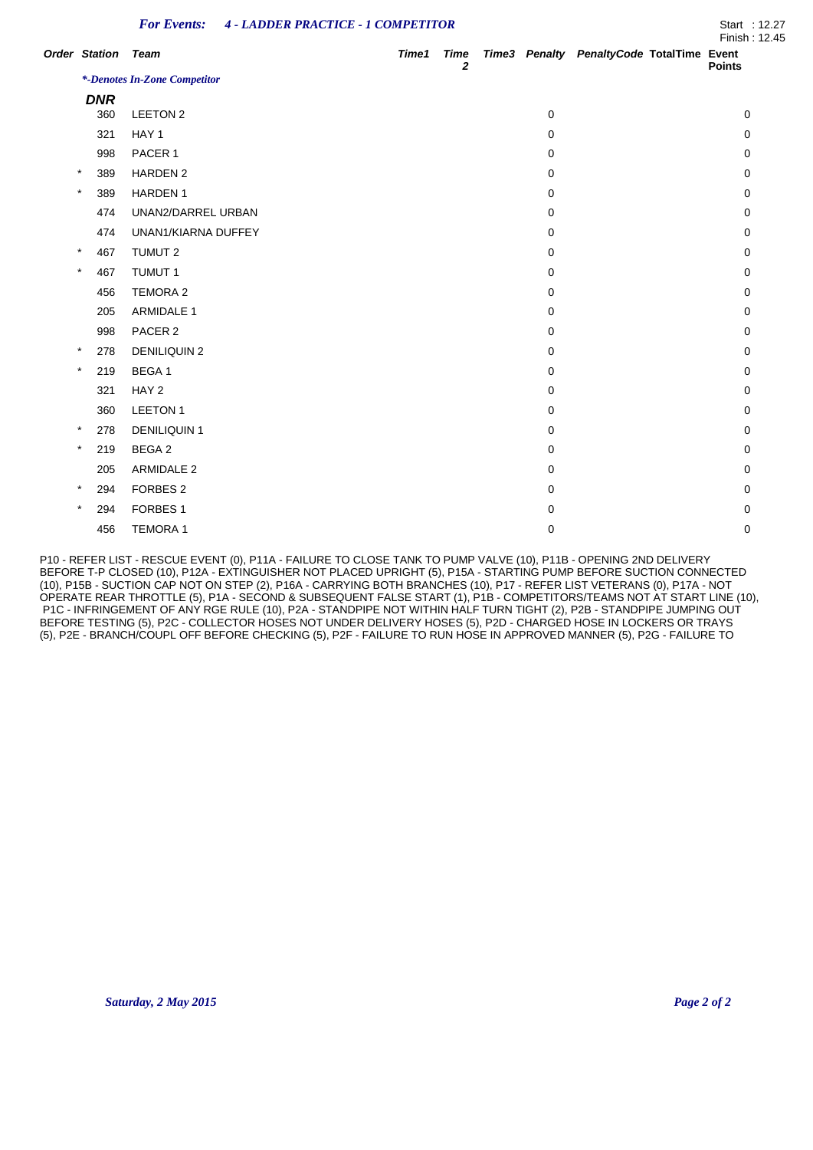| <b>For Events: 4 - LADDER PRACTICE - 1 COMPETITOR</b><br>Start: 12.27 |  |  |
|-----------------------------------------------------------------------|--|--|
|-----------------------------------------------------------------------|--|--|

|                           |                              |       |                             |   |                                           | Finish : 12.45 |
|---------------------------|------------------------------|-------|-----------------------------|---|-------------------------------------------|----------------|
| <b>Order Station Team</b> |                              | Time1 | <b>Time</b><br>$\mathbf{2}$ |   | Time3 Penalty PenaltyCode TotalTime Event | <b>Points</b>  |
|                           | *-Denotes In-Zone Competitor |       |                             |   |                                           |                |
| <b>DNR</b>                |                              |       |                             |   |                                           |                |
| 360                       | LEETON 2                     |       |                             | 0 |                                           | 0              |
| 321                       | HAY 1                        |       |                             | 0 |                                           | 0              |
| 998                       | PACER 1                      |       |                             | 0 |                                           | 0              |
| $\star$<br>389            | <b>HARDEN 2</b>              |       |                             | 0 |                                           | 0              |
| $\star$<br>389            | <b>HARDEN1</b>               |       |                             | 0 |                                           | 0              |
| 474                       | UNAN2/DARREL URBAN           |       |                             | 0 |                                           | 0              |
| 474                       | UNAN1/KIARNA DUFFEY          |       |                             | 0 |                                           | 0              |
| $\star$<br>467            | TUMUT 2                      |       |                             | 0 |                                           | 0              |
| $\star$<br>467            | <b>TUMUT 1</b>               |       |                             | 0 |                                           | 0              |
| 456                       | <b>TEMORA 2</b>              |       |                             | 0 |                                           | 0              |
| 205                       | <b>ARMIDALE 1</b>            |       |                             | 0 |                                           | 0              |
| 998                       | PACER 2                      |       |                             | 0 |                                           | 0              |
| $\star$<br>278            | <b>DENILIQUIN 2</b>          |       |                             | 0 |                                           | 0              |
| $\star$<br>219            | BEGA 1                       |       |                             | 0 |                                           | 0              |
| 321                       | HAY <sub>2</sub>             |       |                             | 0 |                                           | 0              |
| 360                       | <b>LEETON1</b>               |       |                             | 0 |                                           | 0              |
| $\star$<br>278            | <b>DENILIQUIN 1</b>          |       |                             | 0 |                                           | 0              |
| $\star$<br>219            | BEGA 2                       |       |                             | 0 |                                           | 0              |
| 205                       | <b>ARMIDALE 2</b>            |       |                             | 0 |                                           | 0              |
| $\ast$<br>294             | FORBES <sub>2</sub>          |       |                             | 0 |                                           | 0              |
| $\star$<br>294            | FORBES <sub>1</sub>          |       |                             | 0 |                                           | 0              |
| 456                       | <b>TEMORA1</b>               |       |                             | 0 |                                           | 0              |
|                           |                              |       |                             |   |                                           |                |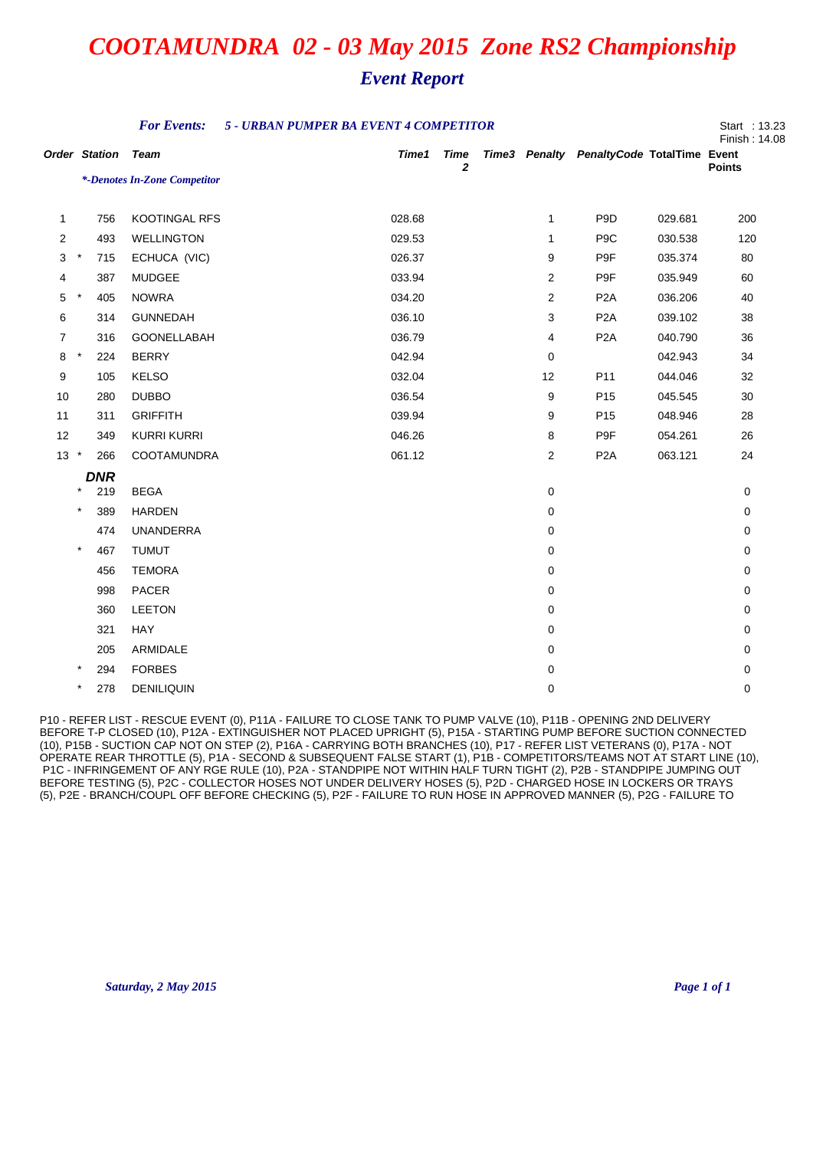## *Event Report*

|                      |          |            | <b>For Events:</b>           | 5 - URBAN PUMPER BA EVENT 4 COMPETITOR |                      |                |                                           |         | Start : 13.23<br>Finish: 14.08 |
|----------------------|----------|------------|------------------------------|----------------------------------------|----------------------|----------------|-------------------------------------------|---------|--------------------------------|
| <b>Order Station</b> |          |            | <b>Team</b>                  | Time1                                  | Time<br>$\mathbf{z}$ |                | Time3 Penalty PenaltyCode TotalTime Event |         | <b>Points</b>                  |
|                      |          |            | *-Denotes In-Zone Competitor |                                        |                      |                |                                           |         |                                |
| $\mathbf{1}$         |          | 756        | KOOTINGAL RFS                | 028.68                                 |                      | $\mathbf{1}$   | P <sub>9</sub> D                          | 029.681 | 200                            |
| 2                    |          | 493        | <b>WELLINGTON</b>            | 029.53                                 |                      | 1              | P <sub>9</sub> C                          | 030.538 | 120                            |
| 3                    | $\star$  | 715        | ECHUCA (VIC)                 | 026.37                                 |                      | 9              | P9F                                       | 035.374 | 80                             |
| 4                    |          | 387        | <b>MUDGEE</b>                | 033.94                                 |                      | $\overline{2}$ | P9F                                       | 035.949 | 60                             |
| 5                    | $\star$  | 405        | <b>NOWRA</b>                 | 034.20                                 |                      | 2              | P <sub>2</sub> A                          | 036.206 | 40                             |
| 6                    |          | 314        | <b>GUNNEDAH</b>              | 036.10                                 |                      | 3              | P <sub>2</sub> A                          | 039.102 | 38                             |
| $\overline{7}$       |          | 316        | GOONELLABAH                  | 036.79                                 |                      | 4              | P <sub>2</sub> A                          | 040.790 | 36                             |
| 8                    | $\star$  | 224        | <b>BERRY</b>                 | 042.94                                 |                      | 0              |                                           | 042.943 | 34                             |
| 9                    |          | 105        | <b>KELSO</b>                 | 032.04                                 |                      | 12             | P11                                       | 044.046 | 32                             |
| 10                   |          | 280        | <b>DUBBO</b>                 | 036.54                                 |                      | 9              | P <sub>15</sub>                           | 045.545 | 30                             |
| 11                   |          | 311        | <b>GRIFFITH</b>              | 039.94                                 |                      | 9              | P <sub>15</sub>                           | 048.946 | 28                             |
| 12                   |          | 349        | <b>KURRI KURRI</b>           | 046.26                                 |                      | 8              | P9F                                       | 054.261 | 26                             |
| $13 *$               |          | 266        | COOTAMUNDRA                  | 061.12                                 |                      | $\overline{2}$ | P <sub>2</sub> A                          | 063.121 | 24                             |
|                      |          | <b>DNR</b> |                              |                                        |                      |                |                                           |         |                                |
|                      |          | 219        | <b>BEGA</b>                  |                                        |                      | 0              |                                           |         | 0                              |
|                      | $\star$  | 389        | <b>HARDEN</b>                |                                        |                      | 0              |                                           |         | 0                              |
|                      |          | 474        | <b>UNANDERRA</b>             |                                        |                      | 0              |                                           |         | 0                              |
|                      | $\star$  | 467        | <b>TUMUT</b>                 |                                        |                      | 0              |                                           |         | 0                              |
|                      |          | 456        | <b>TEMORA</b>                |                                        |                      | 0              |                                           |         | 0                              |
|                      |          | 998        | PACER                        |                                        |                      | 0              |                                           |         | 0                              |
|                      |          | 360        | <b>LEETON</b>                |                                        |                      | $\mathbf 0$    |                                           |         | 0                              |
|                      |          | 321        | HAY                          |                                        |                      | 0              |                                           |         | 0                              |
|                      |          | 205        | ARMIDALE                     |                                        |                      | 0              |                                           |         | 0                              |
|                      |          | 294        | <b>FORBES</b>                |                                        |                      | 0              |                                           |         | 0                              |
|                      | $^\star$ | 278        | <b>DENILIQUIN</b>            |                                        |                      | 0              |                                           |         | 0                              |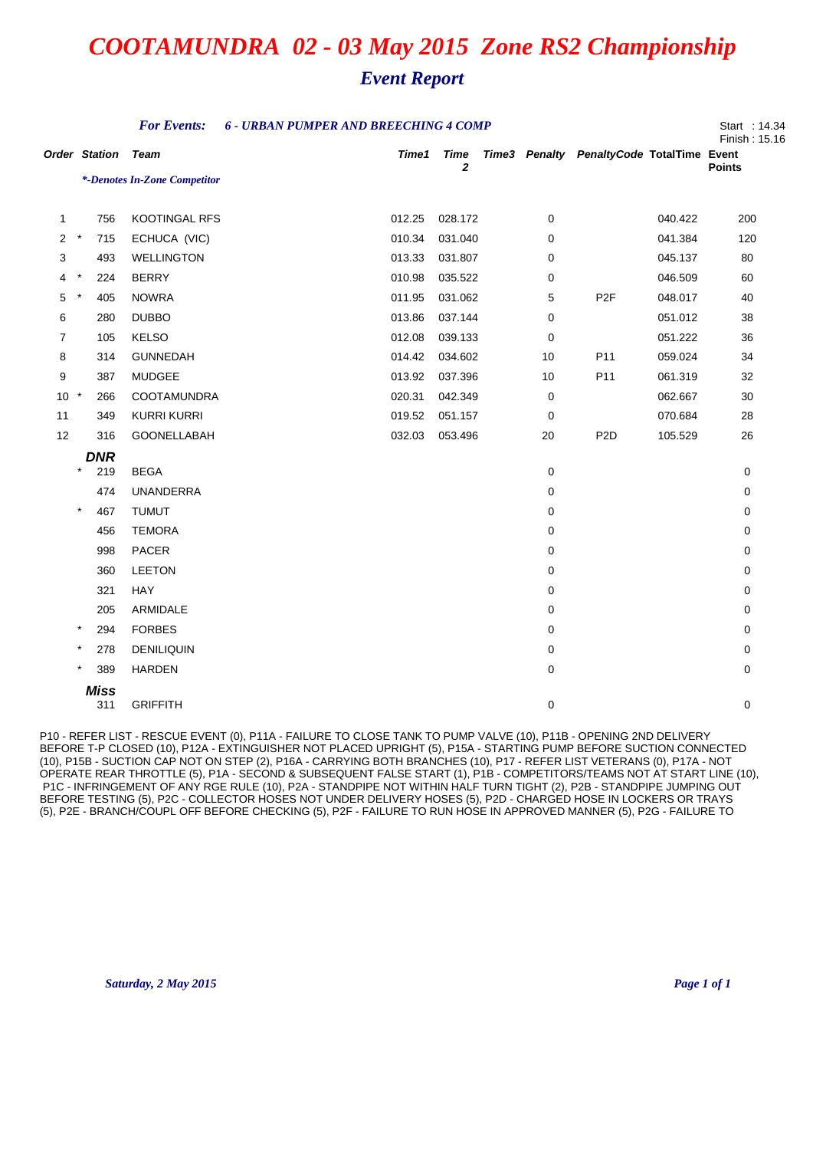## *Event Report*

|                      |           |                    | <b>For Events:</b>           | <b>6 - URBAN PUMPER AND BREECHING 4 COMP</b> |        |           |    |                                           |         | Start : 14.34<br>Finish: 15.16 |
|----------------------|-----------|--------------------|------------------------------|----------------------------------------------|--------|-----------|----|-------------------------------------------|---------|--------------------------------|
| <b>Order Station</b> |           |                    | <b>Team</b>                  |                                              | Time1  | Time<br>2 |    | Time3 Penalty PenaltyCode TotalTime Event |         | <b>Points</b>                  |
|                      |           |                    | *-Denotes In-Zone Competitor |                                              |        |           |    |                                           |         |                                |
| 1                    |           | 756                | <b>KOOTINGAL RFS</b>         |                                              | 012.25 | 028.172   | 0  |                                           | 040.422 | 200                            |
| $\overline{2}$       | $\star$   | 715                | ECHUCA (VIC)                 |                                              | 010.34 | 031.040   | 0  |                                           | 041.384 | 120                            |
| 3                    |           | 493                | <b>WELLINGTON</b>            |                                              | 013.33 | 031.807   | 0  |                                           | 045.137 | 80                             |
| 4                    | $\star$   | 224                | <b>BERRY</b>                 |                                              | 010.98 | 035.522   | 0  |                                           | 046.509 | 60                             |
| 5                    | $\star$   | 405                | <b>NOWRA</b>                 |                                              | 011.95 | 031.062   | 5  | P <sub>2</sub> F                          | 048.017 | 40                             |
| 6                    |           | 280                | <b>DUBBO</b>                 |                                              | 013.86 | 037.144   | 0  |                                           | 051.012 | 38                             |
| $\overline{7}$       |           | 105                | <b>KELSO</b>                 |                                              | 012.08 | 039.133   | 0  |                                           | 051.222 | 36                             |
| 8                    |           | 314                | <b>GUNNEDAH</b>              |                                              | 014.42 | 034.602   | 10 | P11                                       | 059.024 | 34                             |
| 9                    |           | 387                | MUDGEE                       |                                              | 013.92 | 037.396   | 10 | P11                                       | 061.319 | 32                             |
| $10 *$               |           | 266                | <b>COOTAMUNDRA</b>           |                                              | 020.31 | 042.349   | 0  |                                           | 062.667 | 30                             |
| 11                   |           | 349                | <b>KURRI KURRI</b>           |                                              | 019.52 | 051.157   | 0  |                                           | 070.684 | 28                             |
| 12                   |           | 316                | GOONELLABAH                  |                                              | 032.03 | 053.496   | 20 | P <sub>2</sub> D                          | 105.529 | 26                             |
|                      |           | <b>DNR</b>         |                              |                                              |        |           |    |                                           |         |                                |
|                      | $\star$   | 219                | <b>BEGA</b>                  |                                              |        |           | 0  |                                           |         | 0                              |
|                      |           | 474                | <b>UNANDERRA</b>             |                                              |        |           | 0  |                                           |         | 0                              |
|                      | $\star$   | 467                | <b>TUMUT</b>                 |                                              |        |           | 0  |                                           |         | 0                              |
|                      |           | 456                | <b>TEMORA</b>                |                                              |        |           | 0  |                                           |         | 0                              |
|                      |           | 998                | PACER                        |                                              |        |           | 0  |                                           |         | 0                              |
|                      |           | 360                | <b>LEETON</b>                |                                              |        |           | 0  |                                           |         | 0                              |
|                      |           | 321                | HAY                          |                                              |        |           | 0  |                                           |         | 0                              |
|                      |           | 205                | ARMIDALE                     |                                              |        |           | 0  |                                           |         | 0                              |
|                      | $^\star$  | 294                | <b>FORBES</b>                |                                              |        |           | 0  |                                           |         | 0                              |
|                      | $^{\ast}$ | 278                | <b>DENILIQUIN</b>            |                                              |        |           | 0  |                                           |         | 0                              |
|                      | $\star$   | 389                | <b>HARDEN</b>                |                                              |        |           | 0  |                                           |         | 0                              |
|                      |           | <b>Miss</b><br>311 | <b>GRIFFITH</b>              |                                              |        |           | 0  |                                           |         | 0                              |
|                      |           |                    |                              |                                              |        |           |    |                                           |         |                                |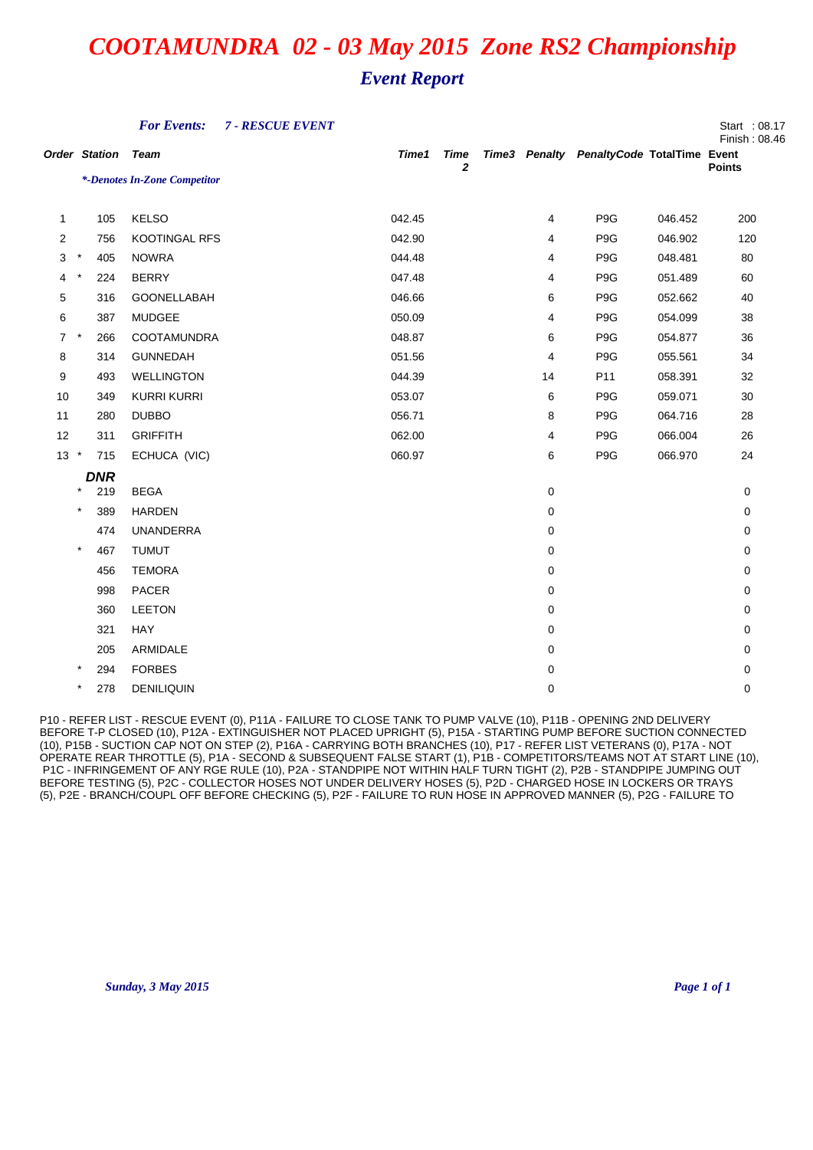|                      |          |            | <b>For Events:</b>           | 7 - RESCUE EVENT |        |                             |    |                                           |         | Start : 08.17<br>Finish: 08.46 |
|----------------------|----------|------------|------------------------------|------------------|--------|-----------------------------|----|-------------------------------------------|---------|--------------------------------|
| <b>Order Station</b> |          |            | <b>Team</b>                  |                  | Time1  | <b>Time</b><br>$\mathbf{2}$ |    | Time3 Penalty PenaltyCode TotalTime Event |         | <b>Points</b>                  |
|                      |          |            | *-Denotes In-Zone Competitor |                  |        |                             |    |                                           |         |                                |
|                      |          |            |                              |                  | 042.45 |                             |    | P9G                                       |         |                                |
| 1                    |          | 105        | <b>KELSO</b>                 |                  |        |                             | 4  |                                           | 046.452 | 200                            |
| $\overline{2}$       | $\star$  | 756        | KOOTINGAL RFS                |                  | 042.90 |                             | 4  | P <sub>9</sub> G                          | 046.902 | 120                            |
| 3                    |          | 405        | <b>NOWRA</b>                 |                  | 044.48 |                             | 4  | P <sub>9</sub> G                          | 048.481 | 80                             |
| 4                    | $^\star$ | 224        | <b>BERRY</b>                 |                  | 047.48 |                             | 4  | P9G                                       | 051.489 | 60                             |
| 5                    |          | 316        | GOONELLABAH                  |                  | 046.66 |                             | 6  | P <sub>9</sub> G                          | 052.662 | 40                             |
| 6                    |          | 387        | <b>MUDGEE</b>                |                  | 050.09 |                             | 4  | P <sub>9</sub> G                          | 054.099 | 38                             |
| $\overline{7}$       | $\star$  | 266        | COOTAMUNDRA                  |                  | 048.87 |                             | 6  | P9G                                       | 054.877 | 36                             |
| 8                    |          | 314        | <b>GUNNEDAH</b>              |                  | 051.56 |                             | 4  | P9G                                       | 055.561 | 34                             |
| 9                    |          | 493        | <b>WELLINGTON</b>            |                  | 044.39 |                             | 14 | P11                                       | 058.391 | 32                             |
| 10                   |          | 349        | <b>KURRI KURRI</b>           |                  | 053.07 |                             | 6  | P <sub>9</sub> G                          | 059.071 | 30                             |
| 11                   |          | 280        | <b>DUBBO</b>                 |                  | 056.71 |                             | 8  | P9G                                       | 064.716 | 28                             |
| 12                   |          | 311        | <b>GRIFFITH</b>              |                  | 062.00 |                             | 4  | P9G                                       | 066.004 | 26                             |
| $13 *$               |          | 715        | ECHUCA (VIC)                 |                  | 060.97 |                             | 6  | P <sub>9</sub> G                          | 066.970 | 24                             |
|                      |          | <b>DNR</b> |                              |                  |        |                             |    |                                           |         |                                |
|                      | $\star$  | 219        | <b>BEGA</b>                  |                  |        |                             | 0  |                                           |         | 0                              |
|                      | $\star$  | 389        | <b>HARDEN</b>                |                  |        |                             | 0  |                                           |         | 0                              |
|                      |          | 474        | <b>UNANDERRA</b>             |                  |        |                             | 0  |                                           |         | 0                              |
|                      | $\star$  | 467        | <b>TUMUT</b>                 |                  |        |                             | 0  |                                           |         | 0                              |
|                      |          | 456        | <b>TEMORA</b>                |                  |        |                             | 0  |                                           |         | 0                              |
|                      |          | 998        | PACER                        |                  |        |                             | 0  |                                           |         | 0                              |
|                      |          | 360        | <b>LEETON</b>                |                  |        |                             | 0  |                                           |         | 0                              |
|                      |          | 321        | HAY                          |                  |        |                             | 0  |                                           |         | 0                              |
|                      |          | 205        | ARMIDALE                     |                  |        |                             | 0  |                                           |         | 0                              |
|                      | $\star$  | 294        | <b>FORBES</b>                |                  |        |                             | 0  |                                           |         | 0                              |
|                      | $\star$  | 278        | <b>DENILIQUIN</b>            |                  |        |                             | 0  |                                           |         | 0                              |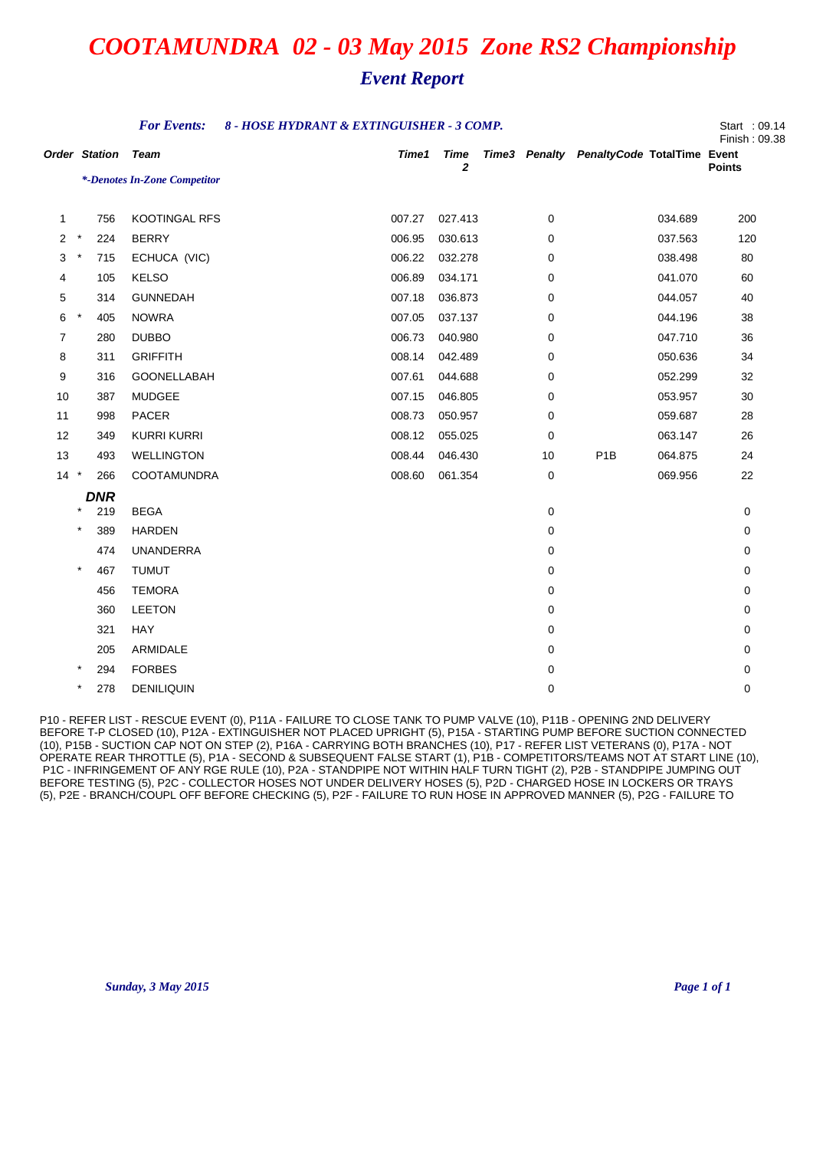## *Event Report*

|                      |          |            | <b>For Events:</b><br>8 - HOSE HYDRANT & EXTINGUISHER - 3 COMP. |  |        |           |  |    |                                           |         |               |
|----------------------|----------|------------|-----------------------------------------------------------------|--|--------|-----------|--|----|-------------------------------------------|---------|---------------|
| <b>Order Station</b> |          |            | <b>Team</b>                                                     |  | Time1  | Time<br>2 |  |    | Time3 Penalty PenaltyCode TotalTime Event |         | <b>Points</b> |
|                      |          |            | *-Denotes In-Zone Competitor                                    |  |        |           |  |    |                                           |         |               |
| 1                    |          | 756        | KOOTINGAL RFS                                                   |  | 007.27 | 027.413   |  | 0  |                                           | 034.689 | 200           |
| 2                    | $\star$  | 224        | <b>BERRY</b>                                                    |  | 006.95 | 030.613   |  | 0  |                                           | 037.563 | 120           |
| 3                    | $\star$  | 715        | ECHUCA (VIC)                                                    |  | 006.22 | 032.278   |  | 0  |                                           | 038.498 | 80            |
| 4                    |          | 105        | <b>KELSO</b>                                                    |  | 006.89 | 034.171   |  | 0  |                                           | 041.070 | 60            |
| 5                    |          | 314        | <b>GUNNEDAH</b>                                                 |  | 007.18 | 036.873   |  | 0  |                                           | 044.057 | 40            |
| 6                    | $^\star$ | 405        | <b>NOWRA</b>                                                    |  | 007.05 | 037.137   |  | 0  |                                           | 044.196 | 38            |
| $\overline{7}$       |          | 280        | <b>DUBBO</b>                                                    |  | 006.73 | 040.980   |  | 0  |                                           | 047.710 | 36            |
| 8                    |          | 311        | <b>GRIFFITH</b>                                                 |  | 008.14 | 042.489   |  | 0  |                                           | 050.636 | 34            |
| 9                    |          | 316        | GOONELLABAH                                                     |  | 007.61 | 044.688   |  | 0  |                                           | 052.299 | 32            |
| 10                   |          | 387        | <b>MUDGEE</b>                                                   |  | 007.15 | 046.805   |  | 0  |                                           | 053.957 | 30            |
| 11                   |          | 998        | PACER                                                           |  | 008.73 | 050.957   |  | 0  |                                           | 059.687 | 28            |
| 12                   |          | 349        | <b>KURRI KURRI</b>                                              |  | 008.12 | 055.025   |  | 0  |                                           | 063.147 | 26            |
| 13                   |          | 493        | <b>WELLINGTON</b>                                               |  | 008.44 | 046.430   |  | 10 | P <sub>1</sub> B                          | 064.875 | 24            |
| $14 *$               |          | 266        | COOTAMUNDRA                                                     |  | 008.60 | 061.354   |  | 0  |                                           | 069.956 | 22            |
|                      |          | <b>DNR</b> |                                                                 |  |        |           |  |    |                                           |         |               |
|                      | $\star$  | 219        | <b>BEGA</b>                                                     |  |        |           |  | 0  |                                           |         | 0             |
|                      | $\star$  | 389        | <b>HARDEN</b>                                                   |  |        |           |  | 0  |                                           |         | 0             |
|                      |          | 474        | <b>UNANDERRA</b>                                                |  |        |           |  | 0  |                                           |         | 0             |
|                      | $\star$  | 467        | <b>TUMUT</b>                                                    |  |        |           |  | 0  |                                           |         | 0             |
|                      |          | 456        | <b>TEMORA</b>                                                   |  |        |           |  | 0  |                                           |         | 0             |
|                      |          | 360        | <b>LEETON</b>                                                   |  |        |           |  | 0  |                                           |         | 0             |
|                      |          | 321        | HAY                                                             |  |        |           |  | 0  |                                           |         | 0             |
|                      |          | 205        | ARMIDALE                                                        |  |        |           |  | 0  |                                           |         | 0             |
|                      | $\ast$   | 294        | <b>FORBES</b>                                                   |  |        |           |  | 0  |                                           |         | $\Omega$      |
|                      | $\ast$   | 278        | <b>DENILIQUIN</b>                                               |  |        |           |  | 0  |                                           |         | 0             |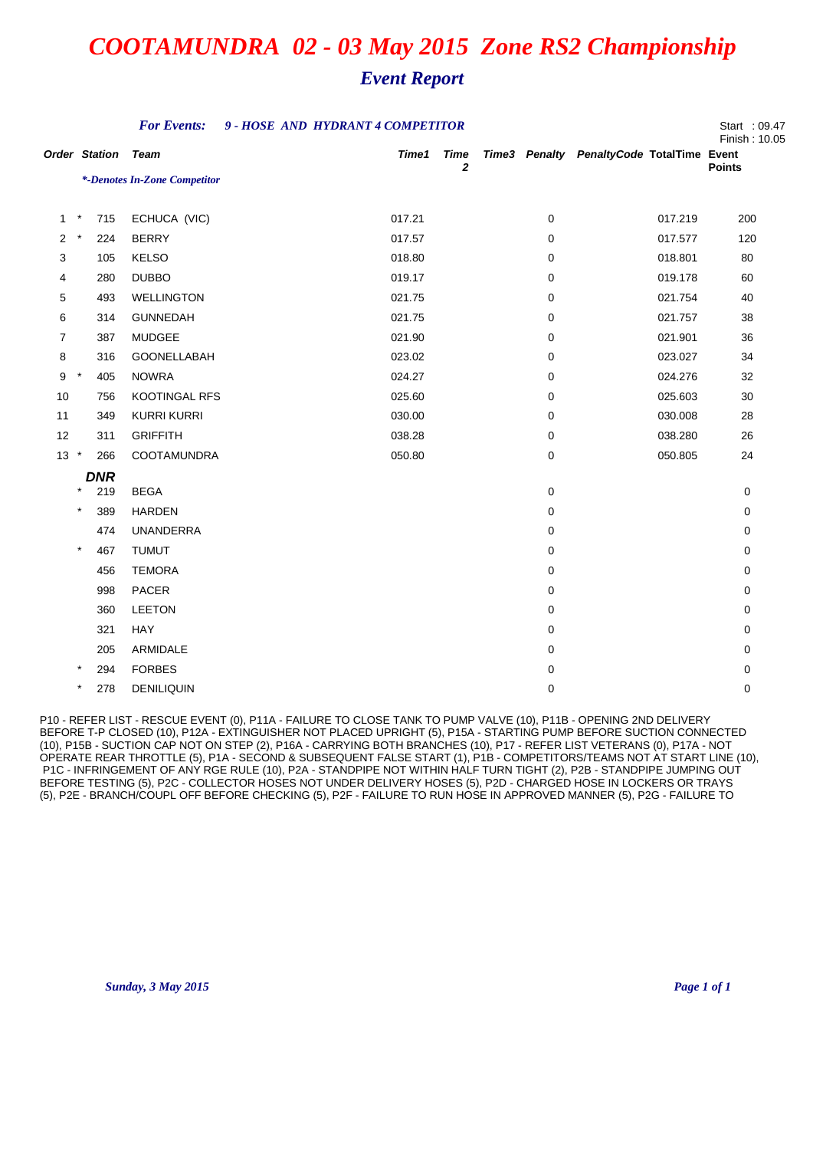### *Event Report*

|                      |                 | <b>For Events:</b>           | 9 - HOSE AND HYDRANT 4 COMPETITOR |                  |   |                                           | Start : 09.47<br>Finish: 10.05 |
|----------------------|-----------------|------------------------------|-----------------------------------|------------------|---|-------------------------------------------|--------------------------------|
| <b>Order Station</b> |                 | <b>Team</b>                  | Time1                             | <b>Time</b><br>2 |   | Time3 Penalty PenaltyCode TotalTime Event | <b>Points</b>                  |
|                      |                 | *-Denotes In-Zone Competitor |                                   |                  |   |                                           |                                |
| $\mathbf{1}$         | $\star$<br>715  | ECHUCA (VIC)                 | 017.21                            |                  | 0 | 017.219                                   | 200                            |
| 2                    | $\star$<br>224  | <b>BERRY</b>                 | 017.57                            |                  | 0 | 017.577                                   | 120                            |
| 3                    | 105             | <b>KELSO</b>                 | 018.80                            |                  | 0 | 018.801                                   | 80                             |
| 4                    | 280             | <b>DUBBO</b>                 | 019.17                            |                  | 0 | 019.178                                   | 60                             |
| 5                    | 493             | <b>WELLINGTON</b>            | 021.75                            |                  | 0 | 021.754                                   | 40                             |
| 6                    | 314             | <b>GUNNEDAH</b>              | 021.75                            |                  | 0 | 021.757                                   | 38                             |
| $\overline{7}$       | 387             | <b>MUDGEE</b>                | 021.90                            |                  | 0 | 021.901                                   | 36                             |
| 8                    | 316             | GOONELLABAH                  | 023.02                            |                  | 0 | 023.027                                   | 34                             |
| 9                    | $\star$<br>405  | <b>NOWRA</b>                 | 024.27                            |                  | 0 | 024.276                                   | 32                             |
| 10                   | 756             | KOOTINGAL RFS                | 025.60                            |                  | 0 | 025.603                                   | $30\,$                         |
| 11                   | 349             | <b>KURRI KURRI</b>           | 030.00                            |                  | 0 | 030.008                                   | 28                             |
| 12                   | 311             | <b>GRIFFITH</b>              | 038.28                            |                  | 0 | 038.280                                   | 26                             |
| $13 *$               | 266             | COOTAMUNDRA                  | 050.80                            |                  | 0 | 050.805                                   | 24                             |
|                      | <b>DNR</b>      |                              |                                   |                  |   |                                           |                                |
|                      | 219             | <b>BEGA</b>                  |                                   |                  | 0 |                                           | 0                              |
|                      | $\star$<br>389  | <b>HARDEN</b>                |                                   |                  | 0 |                                           | 0                              |
|                      | 474             | <b>UNANDERRA</b>             |                                   |                  | 0 |                                           | 0                              |
|                      | $\star$<br>467  | <b>TUMUT</b>                 |                                   |                  | 0 |                                           | 0                              |
|                      | 456             | <b>TEMORA</b>                |                                   |                  | 0 |                                           | 0                              |
|                      | 998             | PACER                        |                                   |                  | 0 |                                           | 0                              |
|                      | 360             | <b>LEETON</b>                |                                   |                  | 0 |                                           | 0                              |
|                      | 321             | HAY                          |                                   |                  | 0 |                                           | 0                              |
|                      | 205             | ARMIDALE                     |                                   |                  | 0 |                                           | 0                              |
|                      | $\star$<br>294  | <b>FORBES</b>                |                                   |                  | 0 |                                           | 0                              |
|                      | $^\star$<br>278 | <b>DENILIQUIN</b>            |                                   |                  | 0 |                                           | 0                              |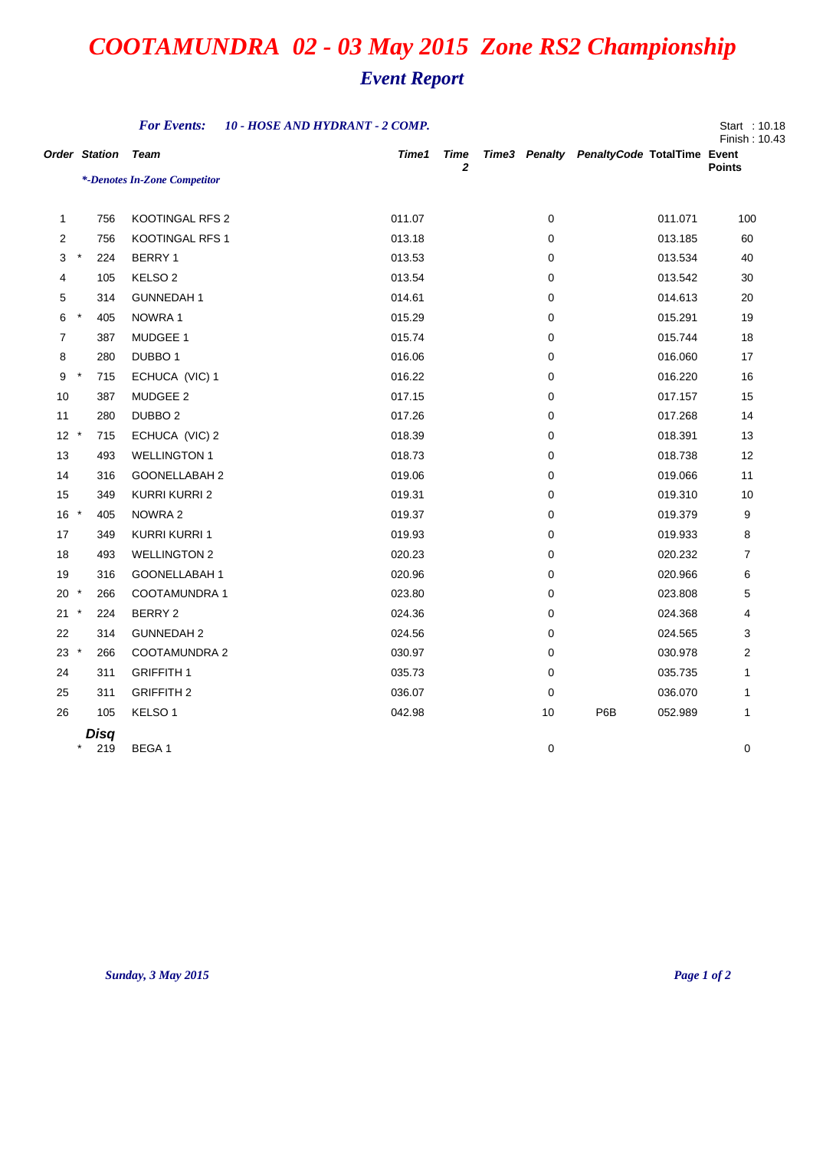|                |                      | <b>For Events:</b>           | 10 - HOSE AND HYDRANT - 2 COMP. |                      |    |                                           |         | Start: 10.18<br>Finish: 10.43 |
|----------------|----------------------|------------------------------|---------------------------------|----------------------|----|-------------------------------------------|---------|-------------------------------|
|                | <b>Order Station</b> | Team                         | Time1                           | Time<br>$\mathbf{z}$ |    | Time3 Penalty PenaltyCode TotalTime Event |         | <b>Points</b>                 |
|                |                      | *-Denotes In-Zone Competitor |                                 |                      |    |                                           |         |                               |
|                |                      |                              |                                 |                      |    |                                           |         |                               |
| $\mathbf{1}$   | 756                  | KOOTINGAL RFS 2              | 011.07                          |                      | 0  |                                           | 011.071 | 100                           |
| $\overline{2}$ | 756                  | <b>KOOTINGAL RFS 1</b>       | 013.18                          |                      | 0  |                                           | 013.185 | 60                            |
| 3              | $\ast$<br>224        | BERRY 1                      | 013.53                          |                      | 0  |                                           | 013.534 | 40                            |
| 4              | 105                  | KELSO <sub>2</sub>           | 013.54                          |                      | 0  |                                           | 013.542 | 30                            |
| 5              | 314                  | <b>GUNNEDAH1</b>             | 014.61                          |                      | 0  |                                           | 014.613 | 20                            |
| 6              | $\star$<br>405       | NOWRA 1                      | 015.29                          |                      | 0  |                                           | 015.291 | 19                            |
| $\overline{7}$ | 387                  | MUDGEE 1                     | 015.74                          |                      | 0  |                                           | 015.744 | 18                            |
| 8              | 280                  | DUBBO <sub>1</sub>           | 016.06                          |                      | 0  |                                           | 016.060 | 17                            |
| 9              | $^\star$<br>715      | ECHUCA (VIC) 1               | 016.22                          |                      | 0  |                                           | 016.220 | 16                            |
| 10             | 387                  | MUDGEE 2                     | 017.15                          |                      | 0  |                                           | 017.157 | 15                            |
| 11             | 280                  | DUBBO <sub>2</sub>           | 017.26                          |                      | 0  |                                           | 017.268 | 14                            |
| $12 *$         | 715                  | ECHUCA (VIC) 2               | 018.39                          |                      | 0  |                                           | 018.391 | 13                            |
| 13             | 493                  | <b>WELLINGTON 1</b>          | 018.73                          |                      | 0  |                                           | 018.738 | 12                            |
| 14             | 316                  | GOONELLABAH 2                | 019.06                          |                      | 0  |                                           | 019.066 | 11                            |
| 15             | 349                  | KURRI KURRI 2                | 019.31                          |                      | 0  |                                           | 019.310 | 10                            |
| $16 *$         | 405                  | NOWRA 2                      | 019.37                          |                      | 0  |                                           | 019.379 | 9                             |
| 17             | 349                  | <b>KURRI KURRI 1</b>         | 019.93                          |                      | 0  |                                           | 019.933 | 8                             |
| 18             | 493                  | <b>WELLINGTON 2</b>          | 020.23                          |                      | 0  |                                           | 020.232 | 7                             |
| 19             | 316                  | GOONELLABAH 1                | 020.96                          |                      | 0  |                                           | 020.966 | 6                             |
| $20 *$         | 266                  | COOTAMUNDRA 1                | 023.80                          |                      | 0  |                                           | 023.808 | 5                             |
| 21             | $^{\star}$<br>224    | BERRY 2                      | 024.36                          |                      | 0  |                                           | 024.368 | 4                             |
| 22             | 314                  | <b>GUNNEDAH 2</b>            | 024.56                          |                      | 0  |                                           | 024.565 | 3                             |
| $23 *$         | 266                  | COOTAMUNDRA 2                | 030.97                          |                      | 0  |                                           | 030.978 | 2                             |
| 24             | 311                  | <b>GRIFFITH 1</b>            | 035.73                          |                      | 0  |                                           | 035.735 | 1                             |
| 25             | 311                  | <b>GRIFFITH 2</b>            | 036.07                          |                      | 0  |                                           | 036.070 | 1                             |
| 26             | 105                  | KELSO <sub>1</sub>           | 042.98                          |                      | 10 | P6B                                       | 052.989 | 1                             |
|                | Disq                 |                              |                                 |                      |    |                                           |         |                               |
|                | $\ast$<br>219        | BEGA 1                       |                                 |                      | 0  |                                           |         | 0                             |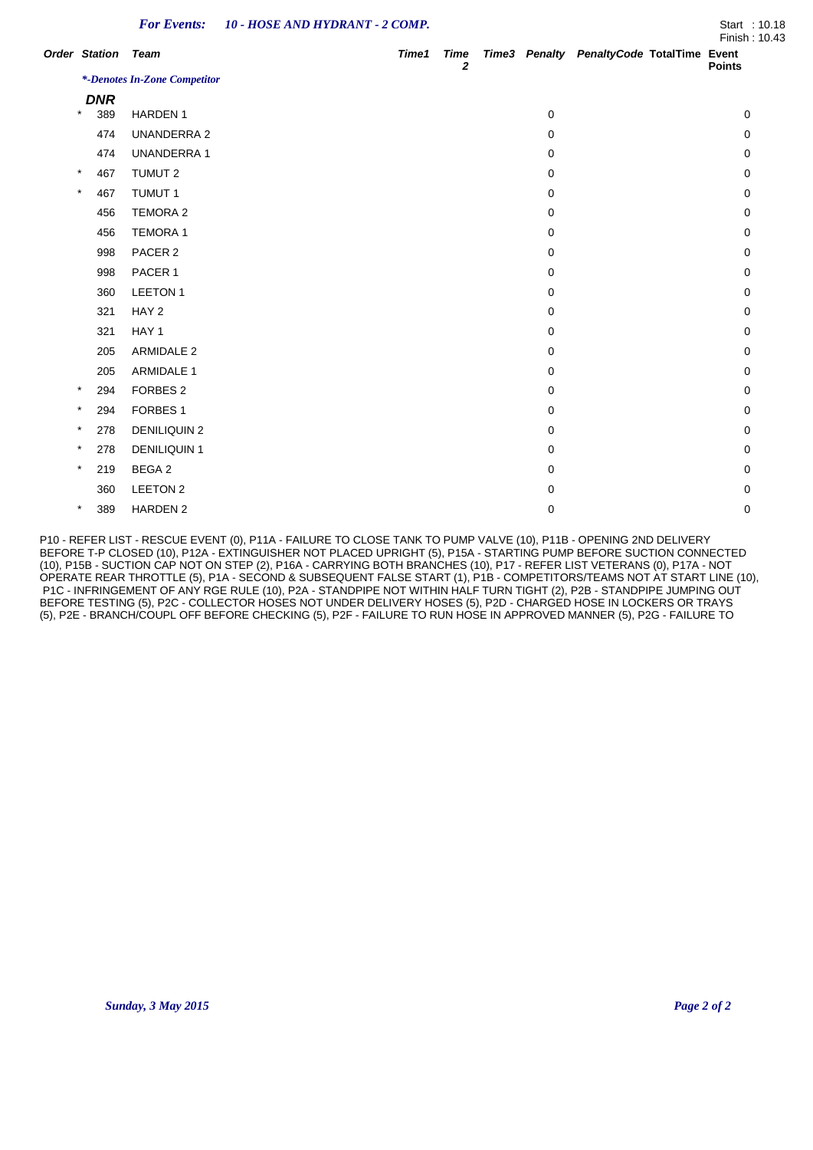|                      | <b>For Events:</b>           | 10 - HOSE AND HYDRANT - 2 COMP. |       |                             |          |                                           | Start: 10.18<br>Finish: 10.43 |
|----------------------|------------------------------|---------------------------------|-------|-----------------------------|----------|-------------------------------------------|-------------------------------|
| <b>Order Station</b> | <b>Team</b>                  |                                 | Time1 | <b>Time</b><br>$\mathbf{2}$ |          | Time3 Penalty PenaltyCode TotalTime Event | <b>Points</b>                 |
|                      | *-Denotes In-Zone Competitor |                                 |       |                             |          |                                           |                               |
| <b>DNR</b>           |                              |                                 |       |                             |          |                                           |                               |
| $\star$<br>389       | <b>HARDEN1</b>               |                                 |       |                             | 0        |                                           | 0                             |
| 474                  | <b>UNANDERRA 2</b>           |                                 |       |                             | 0        |                                           | $\Omega$                      |
| 474                  | <b>UNANDERRA1</b>            |                                 |       |                             | 0        |                                           | 0                             |
| $\star$<br>467       | TUMUT 2                      |                                 |       |                             | 0        |                                           | $\Omega$                      |
| $\star$<br>467       | <b>TUMUT 1</b>               |                                 |       |                             | 0        |                                           | 0                             |
| 456                  | <b>TEMORA 2</b>              |                                 |       |                             | $\Omega$ |                                           | $\Omega$                      |
| 456                  | <b>TEMORA 1</b>              |                                 |       |                             | 0        |                                           | $\Omega$                      |
| 998                  | PACER 2                      |                                 |       |                             | 0        |                                           | $\Omega$                      |
| 998                  | PACER 1                      |                                 |       |                             | 0        |                                           | 0                             |
| 360                  | LEETON 1                     |                                 |       |                             | 0        |                                           | 0                             |
| 321                  | HAY <sub>2</sub>             |                                 |       |                             | 0        |                                           | $\Omega$                      |
| 321                  | HAY 1                        |                                 |       |                             | 0        |                                           | $\Omega$                      |
| 205                  | <b>ARMIDALE 2</b>            |                                 |       |                             | 0        |                                           | $\Omega$                      |
| 205                  | <b>ARMIDALE 1</b>            |                                 |       |                             | 0        |                                           | $\Omega$                      |
| $\ast$<br>294        | FORBES <sub>2</sub>          |                                 |       |                             | 0        |                                           | 0                             |
| $\star$<br>294       | FORBES <sub>1</sub>          |                                 |       |                             | 0        |                                           | $\Omega$                      |
| $\star$<br>278       | <b>DENILIQUIN 2</b>          |                                 |       |                             | 0        |                                           | $\Omega$                      |
| $\ast$<br>278        | <b>DENILIQUIN 1</b>          |                                 |       |                             | 0        |                                           | $\Omega$                      |
| $\star$<br>219       | BEGA 2                       |                                 |       |                             | 0        |                                           | 0                             |
| 360                  | LEETON 2                     |                                 |       |                             | 0        |                                           | $\Omega$                      |
| $\star$<br>389       | <b>HARDEN 2</b>              |                                 |       |                             | 0        |                                           | $\Omega$                      |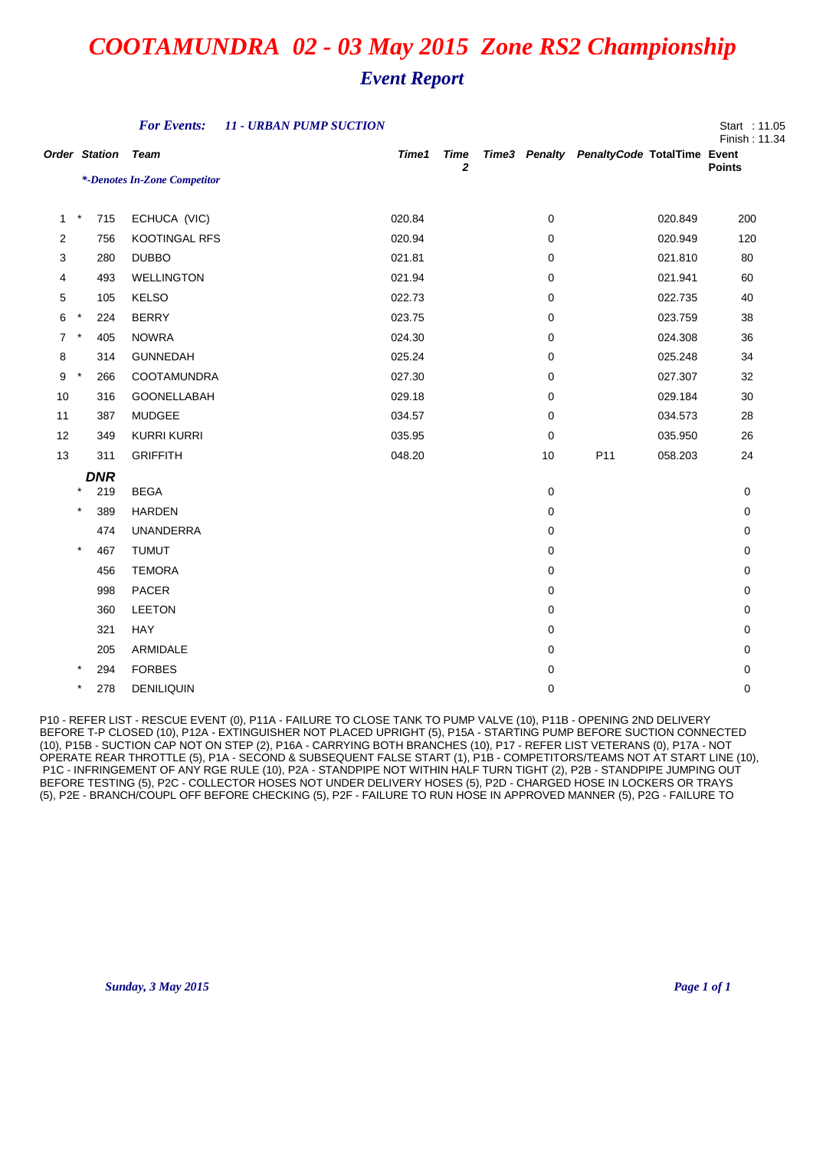|                      |            |            | <b>For Events:</b>           | <b>11 - URBAN PUMP SUCTION</b> |        |                            |    |                                           |         | Start : 11.05<br>Finish: 11.34 |
|----------------------|------------|------------|------------------------------|--------------------------------|--------|----------------------------|----|-------------------------------------------|---------|--------------------------------|
| <b>Order Station</b> |            |            | <b>Team</b>                  |                                | Time1  | <b>Time</b><br>$\mathbf 2$ |    | Time3 Penalty PenaltyCode TotalTime Event |         | <b>Points</b>                  |
|                      |            |            | *-Denotes In-Zone Competitor |                                |        |                            |    |                                           |         |                                |
| $\mathbf{1}$         | $\star$    | 715        | ECHUCA (VIC)                 |                                | 020.84 |                            | 0  |                                           | 020.849 | 200                            |
| $\overline{2}$       |            | 756        | KOOTINGAL RFS                |                                | 020.94 |                            | 0  |                                           | 020.949 | 120                            |
| 3                    |            | 280        | <b>DUBBO</b>                 |                                | 021.81 |                            | 0  |                                           | 021.810 | 80                             |
| 4                    |            | 493        | <b>WELLINGTON</b>            |                                | 021.94 |                            | 0  |                                           | 021.941 | 60                             |
| 5                    |            | 105        | <b>KELSO</b>                 |                                | 022.73 |                            | 0  |                                           | 022.735 | 40                             |
| 6                    | $\star$    | 224        | <b>BERRY</b>                 |                                | 023.75 |                            | 0  |                                           | 023.759 | 38                             |
| $\overline{7}$       | $\star$    | 405        | <b>NOWRA</b>                 |                                | 024.30 |                            | 0  |                                           | 024.308 | 36                             |
| 8                    |            | 314        | <b>GUNNEDAH</b>              |                                | 025.24 |                            | 0  |                                           | 025.248 | 34                             |
| 9                    | $\star$    | 266        | COOTAMUNDRA                  |                                | 027.30 |                            | 0  |                                           | 027.307 | 32                             |
| 10                   |            | 316        | GOONELLABAH                  |                                | 029.18 |                            | 0  |                                           | 029.184 | 30                             |
| 11                   |            | 387        | MUDGEE                       |                                | 034.57 |                            | 0  |                                           | 034.573 | 28                             |
| 12                   |            | 349        | <b>KURRI KURRI</b>           |                                | 035.95 |                            | 0  |                                           | 035.950 | 26                             |
| 13                   |            | 311        | <b>GRIFFITH</b>              |                                | 048.20 |                            | 10 | P11                                       | 058.203 | 24                             |
|                      |            | <b>DNR</b> |                              |                                |        |                            |    |                                           |         |                                |
|                      | $\ast$     | 219        | <b>BEGA</b>                  |                                |        |                            | 0  |                                           |         | 0                              |
|                      | $\star$    | 389        | <b>HARDEN</b>                |                                |        |                            | 0  |                                           |         | 0                              |
|                      |            | 474        | <b>UNANDERRA</b>             |                                |        |                            | 0  |                                           |         | 0                              |
|                      | $\star$    | 467        | <b>TUMUT</b>                 |                                |        |                            | 0  |                                           |         | 0                              |
|                      |            | 456        | <b>TEMORA</b>                |                                |        |                            | 0  |                                           |         | 0                              |
|                      |            | 998        | PACER                        |                                |        |                            | 0  |                                           |         | 0                              |
|                      |            | 360        | <b>LEETON</b>                |                                |        |                            | 0  |                                           |         | 0                              |
|                      |            | 321        | HAY                          |                                |        |                            | 0  |                                           |         | 0                              |
|                      |            | 205        | ARMIDALE                     |                                |        |                            | 0  |                                           |         | 0                              |
|                      | $^{\ast}$  | 294        | <b>FORBES</b>                |                                |        |                            | 0  |                                           |         | 0                              |
|                      | $^{\star}$ | 278        | <b>DENILIQUIN</b>            |                                |        |                            | 0  |                                           |         | 0                              |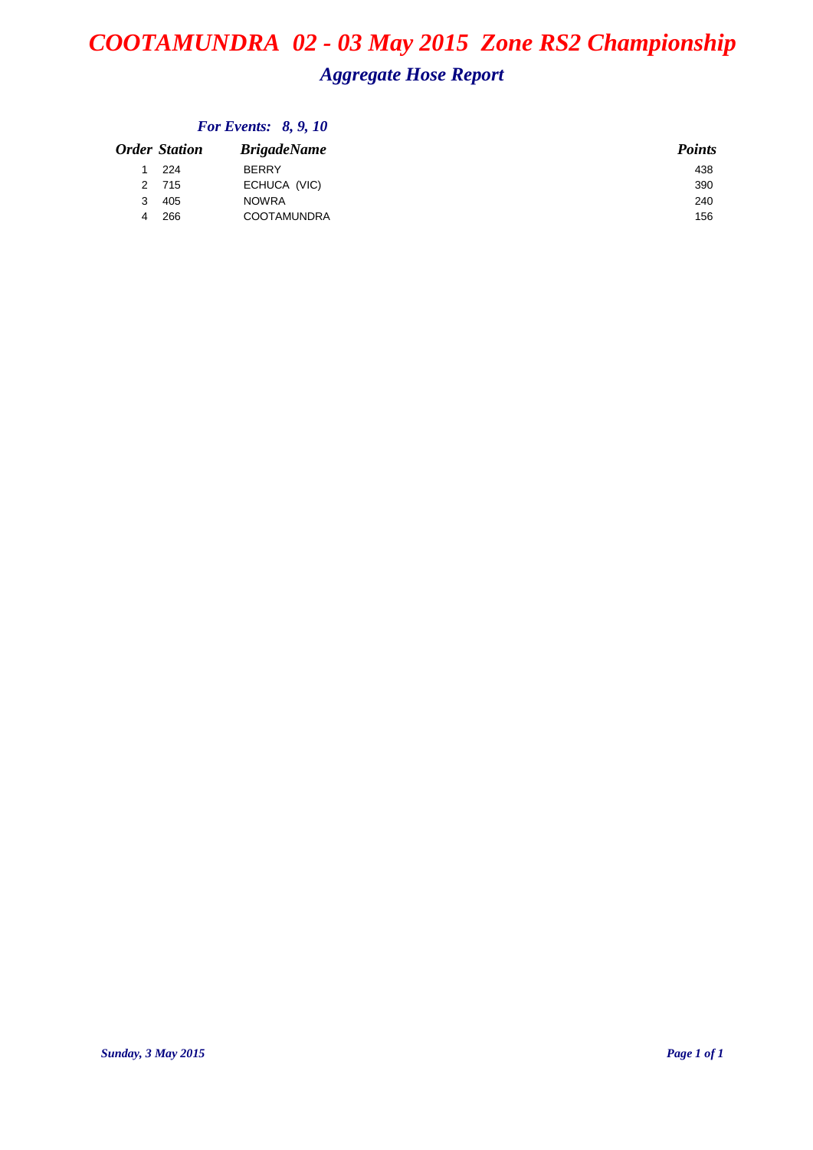## *COOTAMUNDRA 02 - 03 May 2015 Zone RS2 Championship Aggregate Hose Report*

| <b>Order Station</b> | <b>BrigadeName</b> | <b>Points</b> |
|----------------------|--------------------|---------------|
| 224                  | <b>BERRY</b>       | 438           |
| 2 715                | ECHUCA (VIC)       | 390           |
| 405<br>3             | <b>NOWRA</b>       | 240           |
| 266<br>4             | <b>COOTAMUNDRA</b> | 156           |
|                      |                    |               |

### *For Events: 8, 9, 10*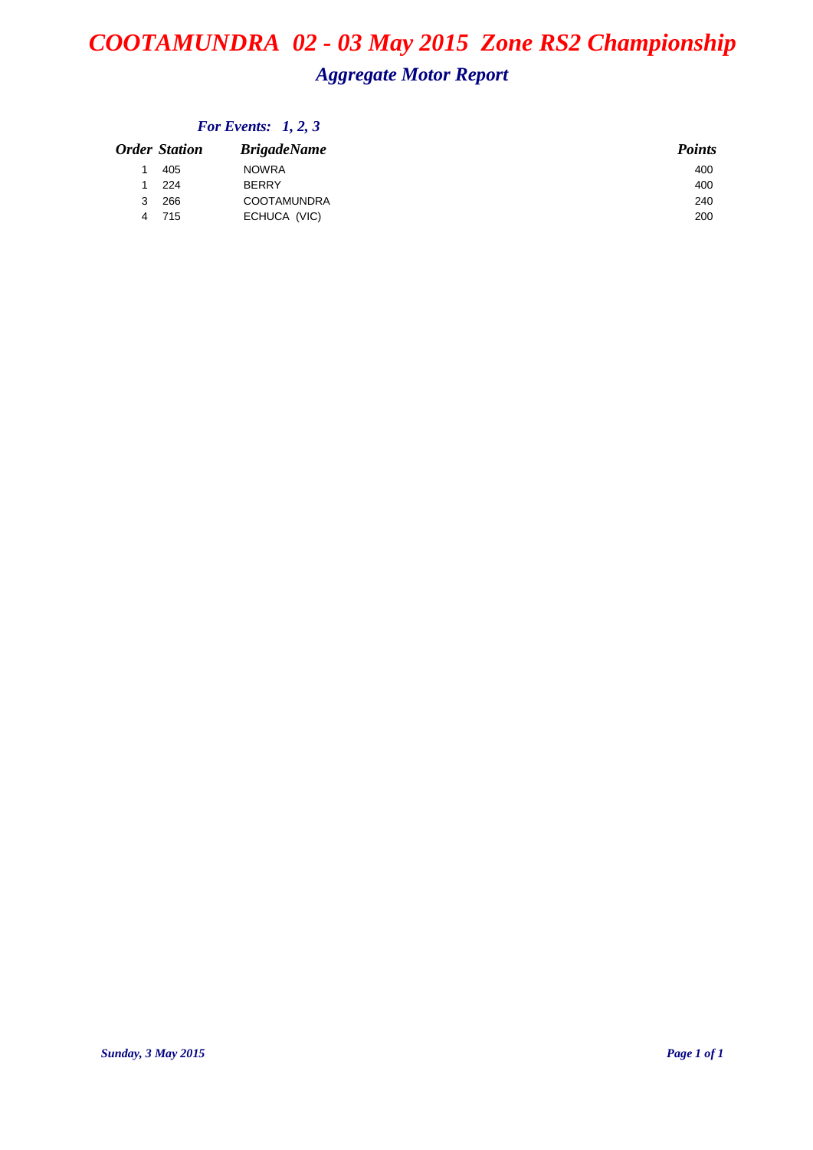## *COOTAMUNDRA 02 - 03 May 2015 Zone RS2 Championship Aggregate Motor Report*

|   | <b>Order Station</b> | <b>BrigadeName</b> | <b>Points</b> |
|---|----------------------|--------------------|---------------|
|   | 405                  | <b>NOWRA</b>       | 400           |
|   | 224                  | <b>BERRY</b>       | 400           |
| 3 | 266                  | <b>COOTAMUNDRA</b> | 240           |
| 4 | 715                  | ECHUCA (VIC)       | 200           |

### *For Events: 1, 2, 3*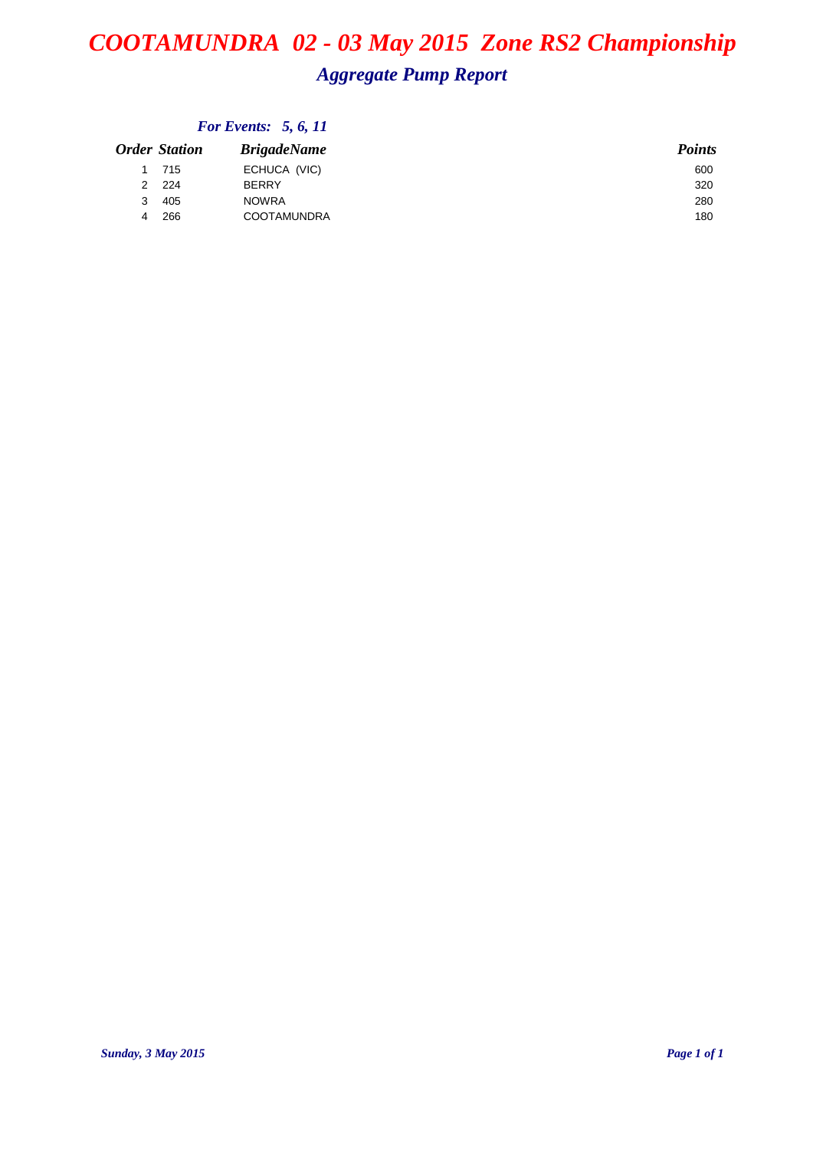## *COOTAMUNDRA 02 - 03 May 2015 Zone RS2 Championship Aggregate Pump Report*

| Order Station | <b>BrigadeName</b> | <b>Points</b> |
|---------------|--------------------|---------------|
| 1 715         | ECHUCA (VIC)       | 600           |
| 2 224         | <b>BERRY</b>       | 320           |
| 405<br>3      | <b>NOWRA</b>       | 280           |
| 266           | <b>COOTAMUNDRA</b> | 180           |
|               |                    |               |

### *For Events: 5, 6, 11*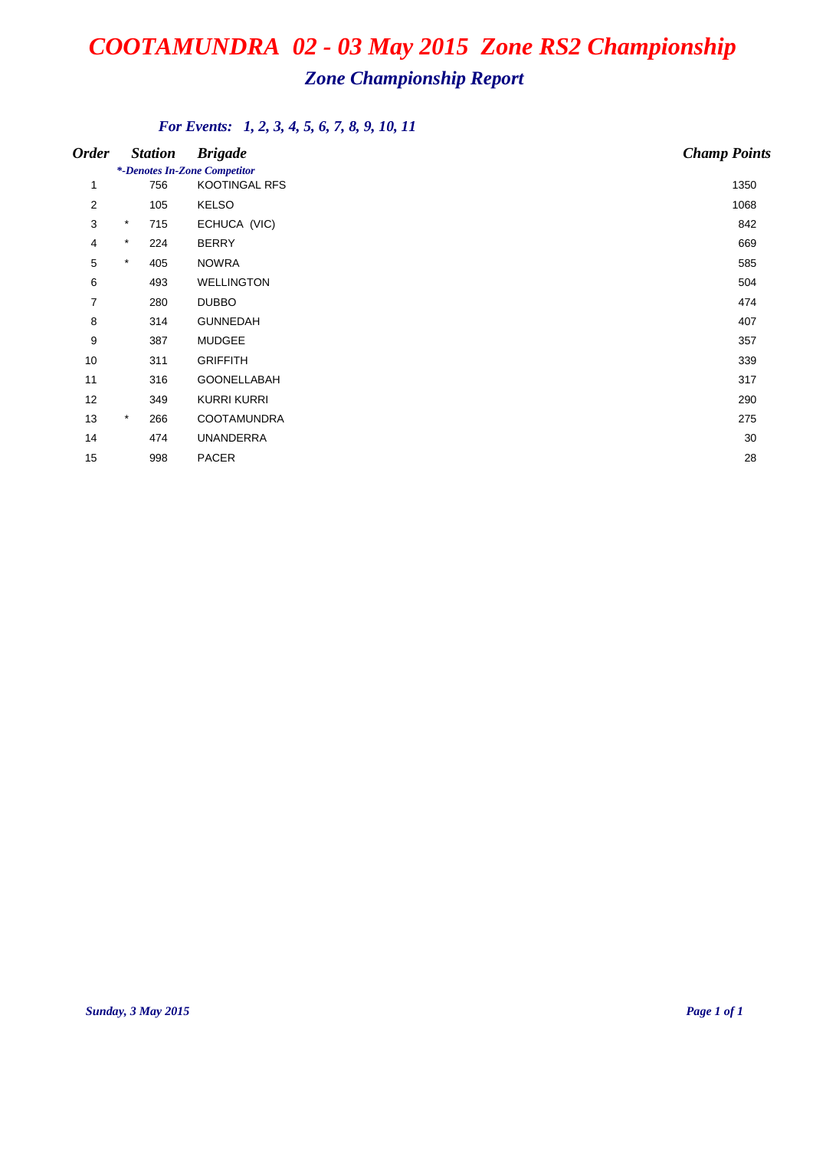## *Zone Championship Report*

### *For Events: 1, 2, 3, 4, 5, 6, 7, 8, 9, 10, 11*

| <b>Order</b>   |         | <b>Station</b> | <b>Brigade</b>                                       | <b>Champ Points</b> |
|----------------|---------|----------------|------------------------------------------------------|---------------------|
| $\mathbf{1}$   |         | 756            | *-Denotes In-Zone Competitor<br><b>KOOTINGAL RFS</b> | 1350                |
| $\overline{2}$ |         | 105            | <b>KELSO</b>                                         | 1068                |
| 3              | $\star$ | 715            | ECHUCA (VIC)                                         | 842                 |
| 4              | $\star$ | 224            | <b>BERRY</b>                                         | 669                 |
| 5              | $\ast$  | 405            | <b>NOWRA</b>                                         | 585                 |
| 6              |         | 493            | <b>WELLINGTON</b>                                    | 504                 |
| $\overline{7}$ |         | 280            | <b>DUBBO</b>                                         | 474                 |
| 8              |         | 314            | <b>GUNNEDAH</b>                                      | 407                 |
| 9              |         | 387            | <b>MUDGEE</b>                                        | 357                 |
| 10             |         | 311            | <b>GRIFFITH</b>                                      | 339                 |
| 11             |         | 316            | GOONELLABAH                                          | 317                 |
| 12             |         | 349            | <b>KURRI KURRI</b>                                   | 290                 |
| 13             | $\star$ | 266            | <b>COOTAMUNDRA</b>                                   | 275                 |
| 14             |         | 474            | <b>UNANDERRA</b>                                     | 30                  |
| 15             |         | 998            | <b>PACER</b>                                         | 28                  |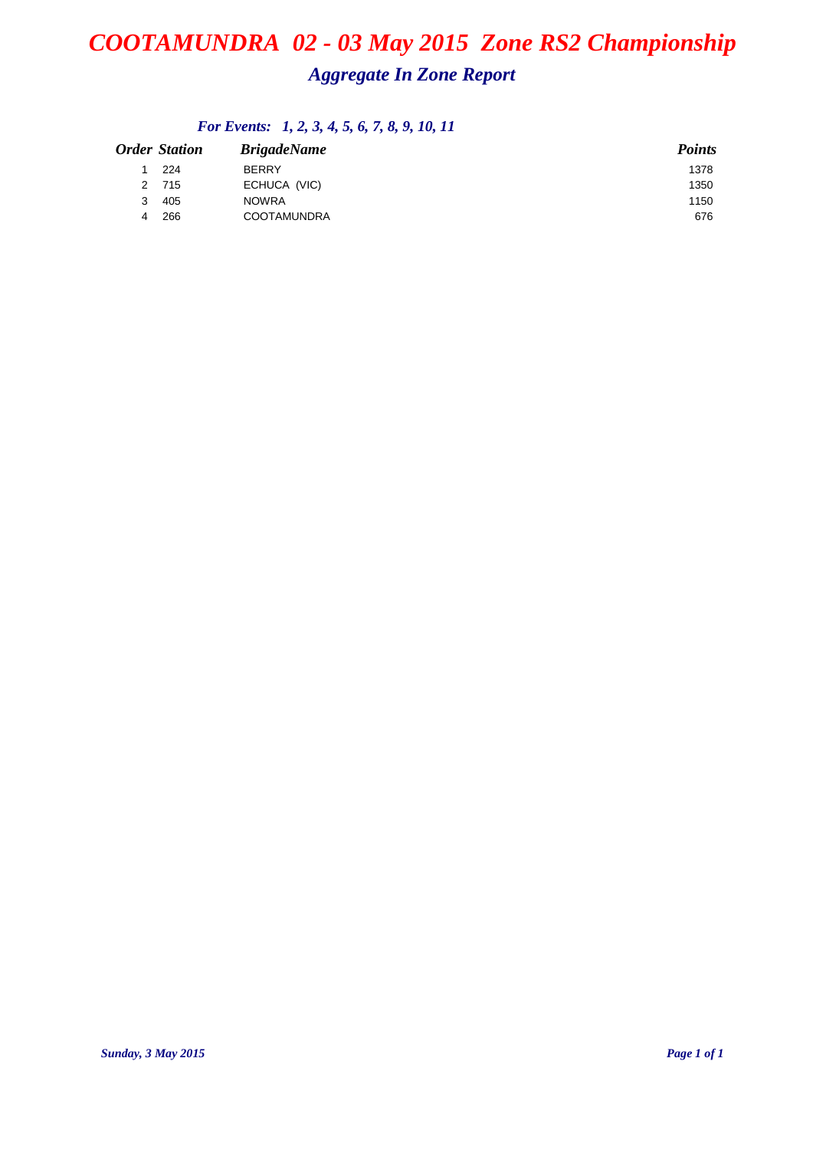## *COOTAMUNDRA 02 - 03 May 2015 Zone RS2 Championship Aggregate In Zone Report*

## *For Events: 1, 2, 3, 4, 5, 6, 7, 8, 9, 10, 11*

|   | <b>Order Station</b> | <b>BrigadeName</b> | <b>Points</b> |
|---|----------------------|--------------------|---------------|
|   | 224                  | <b>BERRY</b>       | 1378          |
|   | 2 715                | ECHUCA (VIC)       | 1350          |
| 3 | 405                  | <b>NOWRA</b>       | 1150          |
| 4 | 266                  | <b>COOTAMUNDRA</b> | 676           |